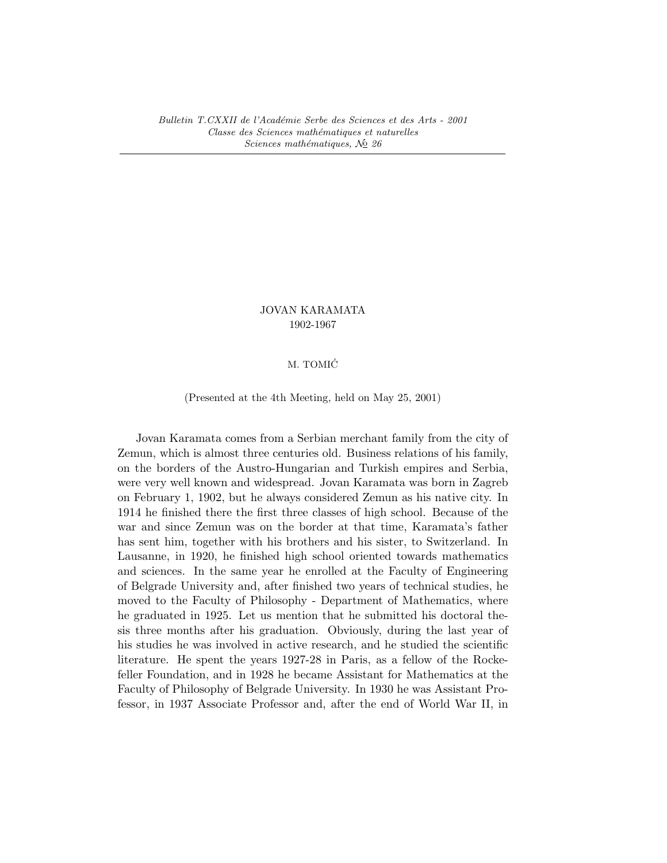# JOVAN KARAMATA 1902-1967

### M. TOMIC´

(Presented at the 4th Meeting, held on May 25, 2001)

Jovan Karamata comes from a Serbian merchant family from the city of Zemun, which is almost three centuries old. Business relations of his family, on the borders of the Austro-Hungarian and Turkish empires and Serbia, were very well known and widespread. Jovan Karamata was born in Zagreb on February 1, 1902, but he always considered Zemun as his native city. In 1914 he finished there the first three classes of high school. Because of the war and since Zemun was on the border at that time, Karamata's father has sent him, together with his brothers and his sister, to Switzerland. In Lausanne, in 1920, he finished high school oriented towards mathematics and sciences. In the same year he enrolled at the Faculty of Engineering of Belgrade University and, after finished two years of technical studies, he moved to the Faculty of Philosophy - Department of Mathematics, where he graduated in 1925. Let us mention that he submitted his doctoral thesis three months after his graduation. Obviously, during the last year of his studies he was involved in active research, and he studied the scientific literature. He spent the years 1927-28 in Paris, as a fellow of the Rockefeller Foundation, and in 1928 he became Assistant for Mathematics at the Faculty of Philosophy of Belgrade University. In 1930 he was Assistant Professor, in 1937 Associate Professor and, after the end of World War II, in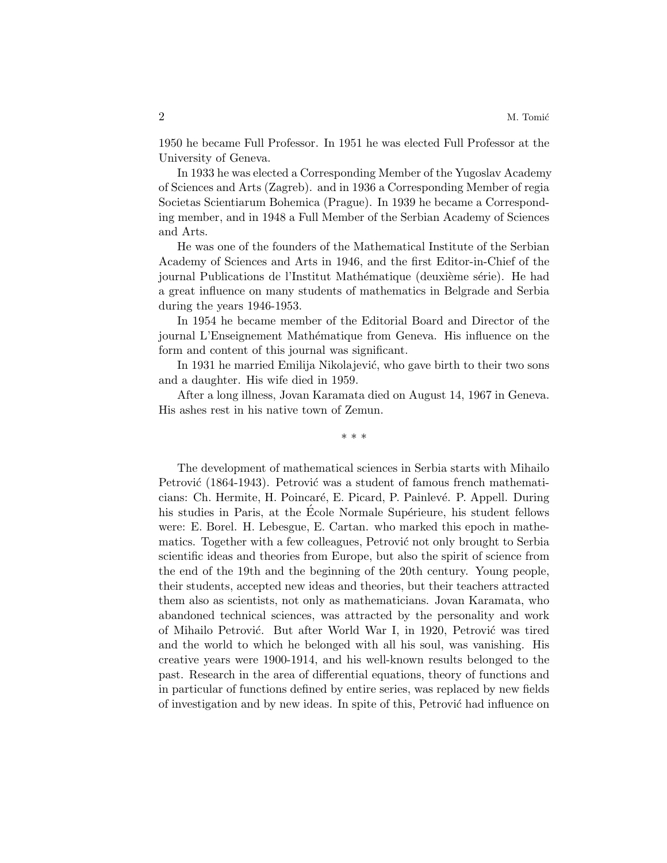1950 he became Full Professor. In 1951 he was elected Full Professor at the University of Geneva.

In 1933 he was elected a Corresponding Member of the Yugoslav Academy of Sciences and Arts (Zagreb). and in 1936 a Corresponding Member of regia Societas Scientiarum Bohemica (Prague). In 1939 he became a Corresponding member, and in 1948 a Full Member of the Serbian Academy of Sciences and Arts.

He was one of the founders of the Mathematical Institute of the Serbian Academy of Sciences and Arts in 1946, and the first Editor-in-Chief of the journal Publications de l'Institut Mathématique (deuxième série). He had a great influence on many students of mathematics in Belgrade and Serbia during the years 1946-1953.

In 1954 he became member of the Editorial Board and Director of the journal L'Enseignement Mathématique from Geneva. His influence on the form and content of this journal was significant.

In 1931 he married Emilija Nikolajević, who gave birth to their two sons and a daughter. His wife died in 1959.

After a long illness, Jovan Karamata died on August 14, 1967 in Geneva. His ashes rest in his native town of Zemun.

\* \* \*

The development of mathematical sciences in Serbia starts with Mihailo Petrović (1864-1943). Petrović was a student of famous french mathematicians: Ch. Hermite, H. Poincar´e, E. Picard, P. Painlev´e. P. Appell. During his studies in Paris, at the Ecole Normale Supérieure, his student fellows were: E. Borel. H. Lebesgue, E. Cartan. who marked this epoch in mathematics. Together with a few colleagues, Petrović not only brought to Serbia scientific ideas and theories from Europe, but also the spirit of science from the end of the 19th and the beginning of the 20th century. Young people, their students, accepted new ideas and theories, but their teachers attracted them also as scientists, not only as mathematicians. Jovan Karamata, who abandoned technical sciences, was attracted by the personality and work of Mihailo Petrović. But after World War I, in 1920, Petrović was tired and the world to which he belonged with all his soul, was vanishing. His creative years were 1900-1914, and his well-known results belonged to the past. Research in the area of differential equations, theory of functions and in particular of functions defined by entire series, was replaced by new fields of investigation and by new ideas. In spite of this, Petrović had influence on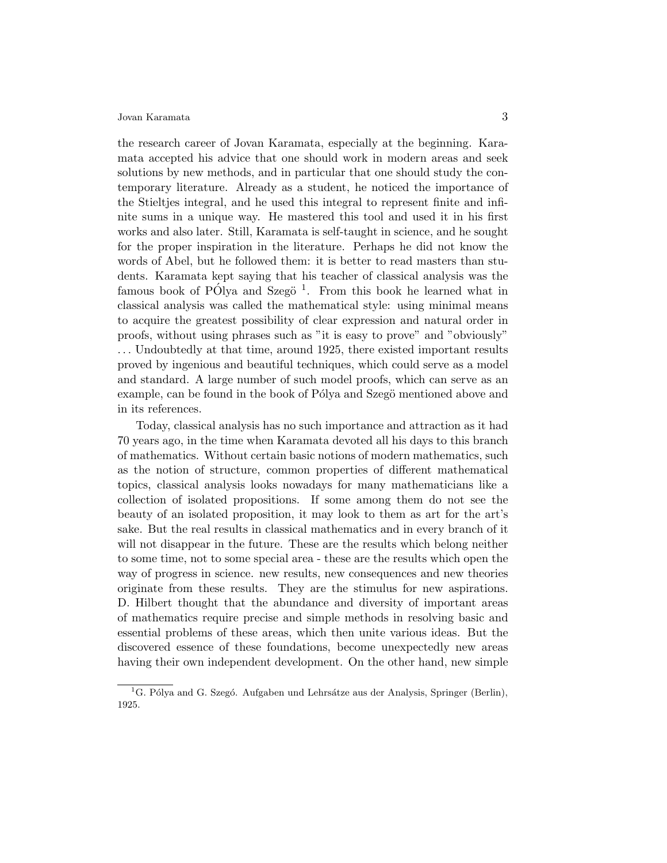the research career of Jovan Karamata, especially at the beginning. Karamata accepted his advice that one should work in modern areas and seek solutions by new methods, and in particular that one should study the contemporary literature. Already as a student, he noticed the importance of the Stieltjes integral, and he used this integral to represent finite and infinite sums in a unique way. He mastered this tool and used it in his first works and also later. Still, Karamata is self-taught in science, and he sought for the proper inspiration in the literature. Perhaps he did not know the words of Abel, but he followed them: it is better to read masters than students. Karamata kept saying that his teacher of classical analysis was the famous book of PÓlya and Szegö<sup>1</sup>. From this book he learned what in classical analysis was called the mathematical style: using minimal means to acquire the greatest possibility of clear expression and natural order in proofs, without using phrases such as "it is easy to prove" and "obviously" . . . Undoubtedly at that time, around 1925, there existed important results proved by ingenious and beautiful techniques, which could serve as a model and standard. A large number of such model proofs, which can serve as an example, can be found in the book of Pólya and Szegö mentioned above and in its references.

Today, classical analysis has no such importance and attraction as it had 70 years ago, in the time when Karamata devoted all his days to this branch of mathematics. Without certain basic notions of modern mathematics, such as the notion of structure, common properties of different mathematical topics, classical analysis looks nowadays for many mathematicians like a collection of isolated propositions. If some among them do not see the beauty of an isolated proposition, it may look to them as art for the art's sake. But the real results in classical mathematics and in every branch of it will not disappear in the future. These are the results which belong neither to some time, not to some special area - these are the results which open the way of progress in science. new results, new consequences and new theories originate from these results. They are the stimulus for new aspirations. D. Hilbert thought that the abundance and diversity of important areas of mathematics require precise and simple methods in resolving basic and essential problems of these areas, which then unite various ideas. But the discovered essence of these foundations, become unexpectedly new areas having their own independent development. On the other hand, new simple

<sup>&</sup>lt;sup>1</sup>G. Pólya and G. Szegó. Aufgaben und Lehrsátze aus der Analysis, Springer (Berlin), 1925.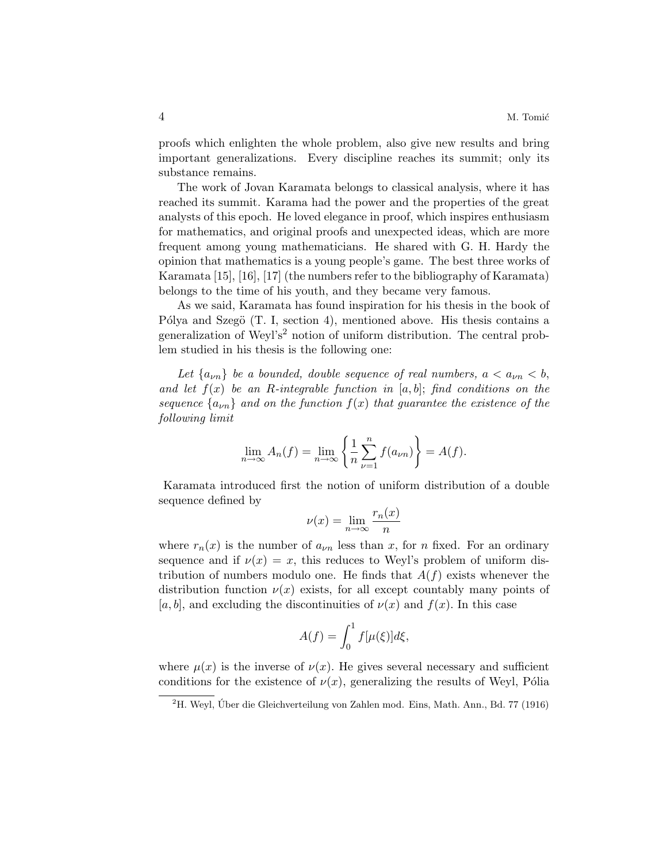proofs which enlighten the whole problem, also give new results and bring important generalizations. Every discipline reaches its summit; only its substance remains.

The work of Jovan Karamata belongs to classical analysis, where it has reached its summit. Karama had the power and the properties of the great analysts of this epoch. He loved elegance in proof, which inspires enthusiasm for mathematics, and original proofs and unexpected ideas, which are more frequent among young mathematicians. He shared with G. H. Hardy the opinion that mathematics is a young people's game. The best three works of Karamata [15], [16], [17] (the numbers refer to the bibliography of Karamata) belongs to the time of his youth, and they became very famous.

As we said, Karamata has found inspiration for his thesis in the book of Pólya and Szegö  $(T. I, section 4)$ , mentioned above. His thesis contains a generalization of Weyl's<sup>2</sup> notion of uniform distribution. The central problem studied in his thesis is the following one:

Let  $\{a_{\nu n}\}\$  be a bounded, double sequence of real numbers,  $a < a_{\nu n} < b$ , and let  $f(x)$  be an R-integrable function in [a, b]; find conditions on the sequence  $\{a_{\nu n}\}\$  and on the function  $f(x)$  that quarantee the existence of the following limit

$$
\lim_{n \to \infty} A_n(f) = \lim_{n \to \infty} \left\{ \frac{1}{n} \sum_{\nu=1}^n f(a_{\nu n}) \right\} = A(f).
$$

Karamata introduced first the notion of uniform distribution of a double sequence defined by

$$
\nu(x) = \lim_{n \to \infty} \frac{r_n(x)}{n}
$$

where  $r_n(x)$  is the number of  $a_{\nu n}$  less than x, for n fixed. For an ordinary sequence and if  $\nu(x) = x$ , this reduces to Weyl's problem of uniform distribution of numbers modulo one. He finds that  $A(f)$  exists whenever the distribution function  $\nu(x)$  exists, for all except countably many points of [a, b], and excluding the discontinuities of  $\nu(x)$  and  $f(x)$ . In this case

$$
A(f) = \int_0^1 f[\mu(\xi)]d\xi,
$$

where  $\mu(x)$  is the inverse of  $\nu(x)$ . He gives several necessary and sufficient conditions for the existence of  $\nu(x)$ , generalizing the results of Weyl, Pólia

 ${}^{2}$ H. Weyl, Úber die Gleichverteilung von Zahlen mod. Eins, Math. Ann., Bd. 77 (1916)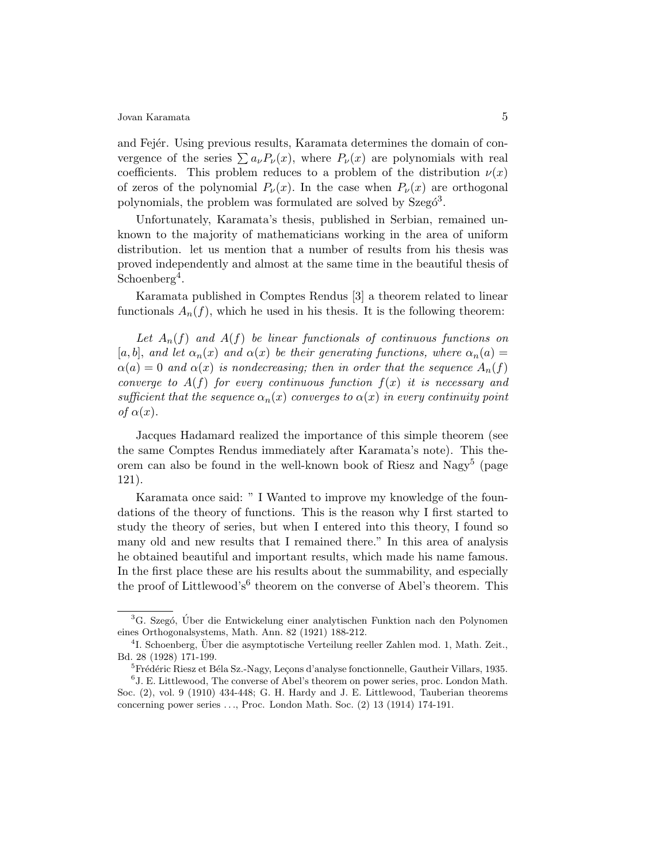and Fejer. Using previous results, Karamata determines the domain of convergence of the series  $\sum a_{\nu} P_{\nu}(x)$ , where  $P_{\nu}(x)$  are polynomials with real coefficients. This problem reduces to a problem of the distribution  $\nu(x)$ of zeros of the polynomial  $P_{\nu}(x)$ . In the case when  $P_{\nu}(x)$  are orthogonal polynomials, the problem was formulated are solved by Szegó<sup>3</sup>.

Unfortunately, Karamata's thesis, published in Serbian, remained unknown to the majority of mathematicians working in the area of uniform distribution. let us mention that a number of results from his thesis was proved independently and almost at the same time in the beautiful thesis of Schoenberg<sup>4</sup>.

Karamata published in Comptes Rendus [3] a theorem related to linear functionals  $A_n(f)$ , which he used in his thesis. It is the following theorem:

Let  $A_n(f)$  and  $A(f)$  be linear functionals of continuous functions on [a, b], and let  $\alpha_n(x)$  and  $\alpha(x)$  be their generating functions, where  $\alpha_n(a)$  =  $\alpha(a) = 0$  and  $\alpha(x)$  is nondecreasing; then in order that the sequence  $A_n(f)$ converge to  $A(f)$  for every continuous function  $f(x)$  it is necessary and sufficient that the sequence  $\alpha_n(x)$  converges to  $\alpha(x)$  in every continuity point of  $\alpha(x)$ .

Jacques Hadamard realized the importance of this simple theorem (see the same Comptes Rendus immediately after Karamata's note). This theorem can also be found in the well-known book of Riesz and Nagy<sup>5</sup> (page 121).

Karamata once said: " I Wanted to improve my knowledge of the foundations of the theory of functions. This is the reason why I first started to study the theory of series, but when I entered into this theory, I found so many old and new results that I remained there." In this area of analysis he obtained beautiful and important results, which made his name famous. In the first place these are his results about the summability, and especially the proof of Littlewood's<sup>6</sup> theorem on the converse of Abel's theorem. This

 ${}^{3}$ G. Szegó, Úber die Entwickelung einer analytischen Funktion nach den Polynomen eines Orthogonalsystems, Math. Ann. 82 (1921) 188-212.

<sup>&</sup>lt;sup>4</sup>I. Schoenberg, Über die asymptotische Verteilung reeller Zahlen mod. 1, Math. Zeit., Bd. 28 (1928) 171-199.

<sup>&</sup>lt;sup>5</sup>Frédéric Riesz et Béla Sz.-Nagy, Leçons d'analyse fonctionnelle, Gautheir Villars, 1935.

<sup>&</sup>lt;sup>6</sup> J. E. Littlewood, The converse of Abel's theorem on power series, proc. London Math. Soc. (2), vol. 9 (1910) 434-448; G. H. Hardy and J. E. Littlewood, Tauberian theorems concerning power series  $\dots$ , Proc. London Math. Soc.  $(2)$  13 (1914) 174-191.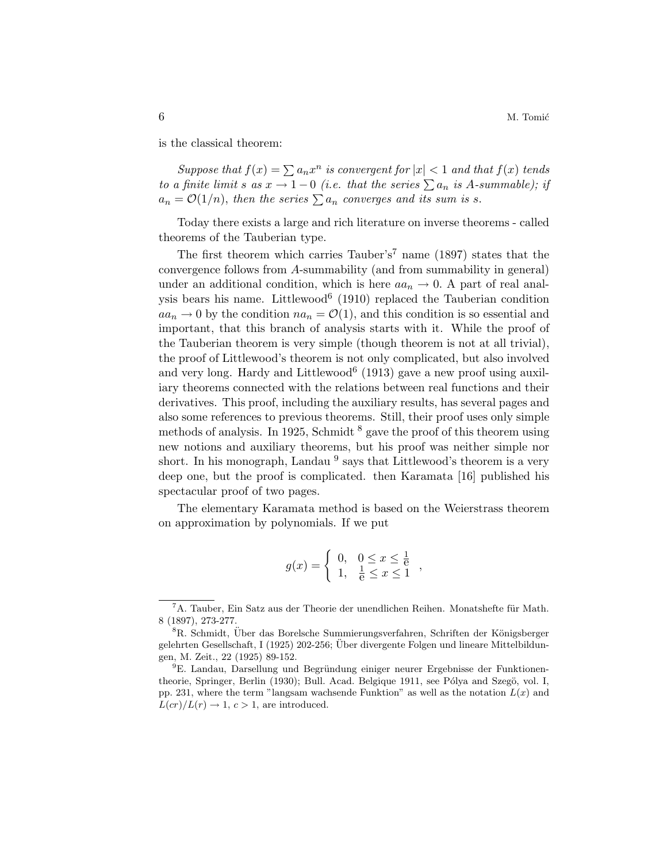is the classical theorem:

Suppose that  $f(x) = \sum a_n x^n$  is convergent for  $|x| < 1$  and that  $f(x)$  tends to a finite limit s as  $x \to 1-0$  (i.e. that the series  $\sum a_n$  is A-summable); if  $a_n = \mathcal{O}(1/n)$ , then the series  $\sum a_n$  converges and its sum is s.

Today there exists a large and rich literature on inverse theorems - called theorems of the Tauberian type.

The first theorem which carries Tauber's<sup>7</sup> name (1897) states that the convergence follows from A-summability (and from summability in general) under an additional condition, which is here  $aa_n \to 0$ . A part of real analysis bears his name. Littlewood<sup>6</sup> (1910) replaced the Tauberian condition  $aa_n \to 0$  by the condition  $na_n = \mathcal{O}(1)$ , and this condition is so essential and important, that this branch of analysis starts with it. While the proof of the Tauberian theorem is very simple (though theorem is not at all trivial), the proof of Littlewood's theorem is not only complicated, but also involved and very long. Hardy and Littlewood<sup>6</sup> (1913) gave a new proof using auxiliary theorems connected with the relations between real functions and their derivatives. This proof, including the auxiliary results, has several pages and also some references to previous theorems. Still, their proof uses only simple methods of analysis. In 1925, Schmidt  $<sup>8</sup>$  gave the proof of this theorem using</sup> new notions and auxiliary theorems, but his proof was neither simple nor short. In his monograph, Landau  $^{9}$  says that Littlewood's theorem is a very deep one, but the proof is complicated. then Karamata [16] published his spectacular proof of two pages.

The elementary Karamata method is based on the Weierstrass theorem on approximation by polynomials. If we put

$$
g(x) = \begin{cases} 0, & 0 \le x \le \frac{1}{6} \\ 1, & \frac{1}{6} \le x \le 1 \end{cases}
$$

 ${}^{7}$ A. Tauber, Ein Satz aus der Theorie der unendlichen Reihen. Monatshefte für Math. 8 (1897), 273-277.

 ${}^8R$ . Schmidt, Uber das Borelsche Summierungsverfahren, Schriften der Königsberger gelehrten Gesellschaft, I (1925) 202-256; Uber divergente Folgen und lineare Mittelbildun- ¨ gen, M. Zeit., 22 (1925) 89-152.

<sup>&</sup>lt;sup>9</sup>E. Landau, Darsellung und Begründung einiger neurer Ergebnisse der Funktionentheorie, Springer, Berlin (1930); Bull. Acad. Belgique 1911, see Pólya and Szegö, vol. I, pp. 231, where the term "langsam wachsende Funktion" as well as the notation  $L(x)$  and  $L(cr)/L(r) \rightarrow 1, c > 1$ , are introduced.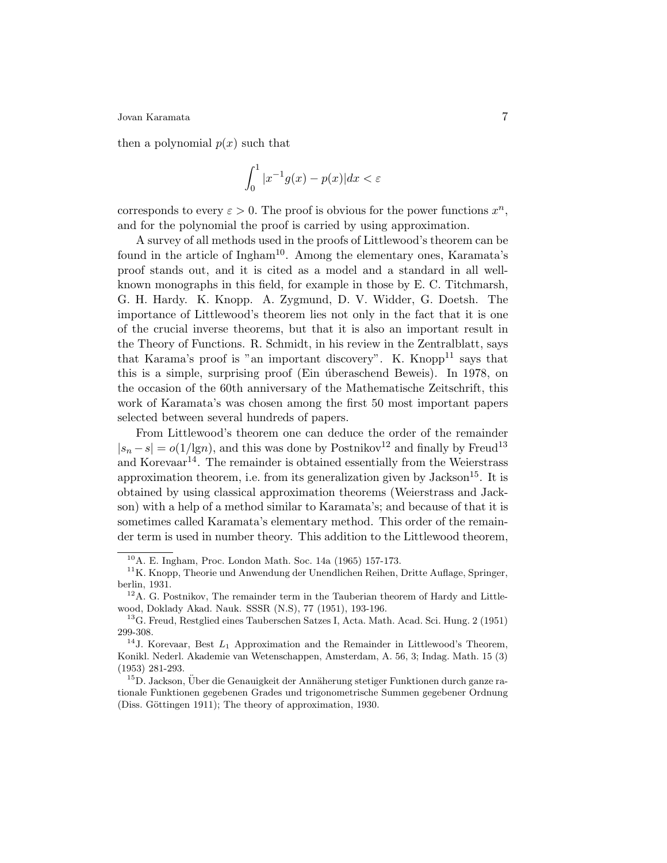then a polynomial  $p(x)$  such that

$$
\int_0^1 |x^{-1}g(x) - p(x)| dx < \varepsilon
$$

corresponds to every  $\varepsilon > 0$ . The proof is obvious for the power functions  $x^n$ , and for the polynomial the proof is carried by using approximation.

A survey of all methods used in the proofs of Littlewood's theorem can be found in the article of Ingham<sup>10</sup>. Among the elementary ones, Karamata's proof stands out, and it is cited as a model and a standard in all wellknown monographs in this field, for example in those by E. C. Titchmarsh, G. H. Hardy. K. Knopp. A. Zygmund, D. V. Widder, G. Doetsh. The importance of Littlewood's theorem lies not only in the fact that it is one of the crucial inverse theorems, but that it is also an important result in the Theory of Functions. R. Schmidt, in his review in the Zentralblatt, says that Karama's proof is "an important discovery". K. Knopp<sup>11</sup> says that this is a simple, surprising proof (Ein *u*theraschend Beweis). In 1978, on the occasion of the 60th anniversary of the Mathematische Zeitschrift, this work of Karamata's was chosen among the first 50 most important papers selected between several hundreds of papers.

From Littlewood's theorem one can deduce the order of the remainder  $|s_n - s| = o(1/lg n)$ , and this was done by Postnikov<sup>12</sup> and finally by Freud<sup>13</sup> and Korevaar<sup>14</sup>. The remainder is obtained essentially from the Weierstrass approximation theorem, i.e. from its generalization given by Jackson<sup>15</sup>. It is obtained by using classical approximation theorems (Weierstrass and Jackson) with a help of a method similar to Karamata's; and because of that it is sometimes called Karamata's elementary method. This order of the remainder term is used in number theory. This addition to the Littlewood theorem,

<sup>10</sup>A. E. Ingham, Proc. London Math. Soc. 14a (1965) 157-173.

<sup>&</sup>lt;sup>11</sup>K. Knopp, Theorie und Anwendung der Unendlichen Reihen, Dritte Auflage, Springer, berlin, 1931.

 $12$ A. G. Postnikov, The remainder term in the Tauberian theorem of Hardy and Littlewood, Doklady Akad. Nauk. SSSR (N.S), 77 (1951), 193-196.

<sup>13</sup>G. Freud, Restglied eines Tauberschen Satzes I, Acta. Math. Acad. Sci. Hung. 2 (1951) 299-308.

<sup>&</sup>lt;sup>14</sup>J. Korevaar, Best  $L_1$  Approximation and the Remainder in Littlewood's Theorem, Konikl. Nederl. Akademie van Wetenschappen, Amsterdam, A. 56, 3; Indag. Math. 15 (3) (1953) 281-293.

 $15D$ . Jackson, Über die Genauigkeit der Annäherung stetiger Funktionen durch ganze rationale Funktionen gegebenen Grades und trigonometrische Summen gegebener Ordnung (Diss. Göttingen 1911); The theory of approximation, 1930.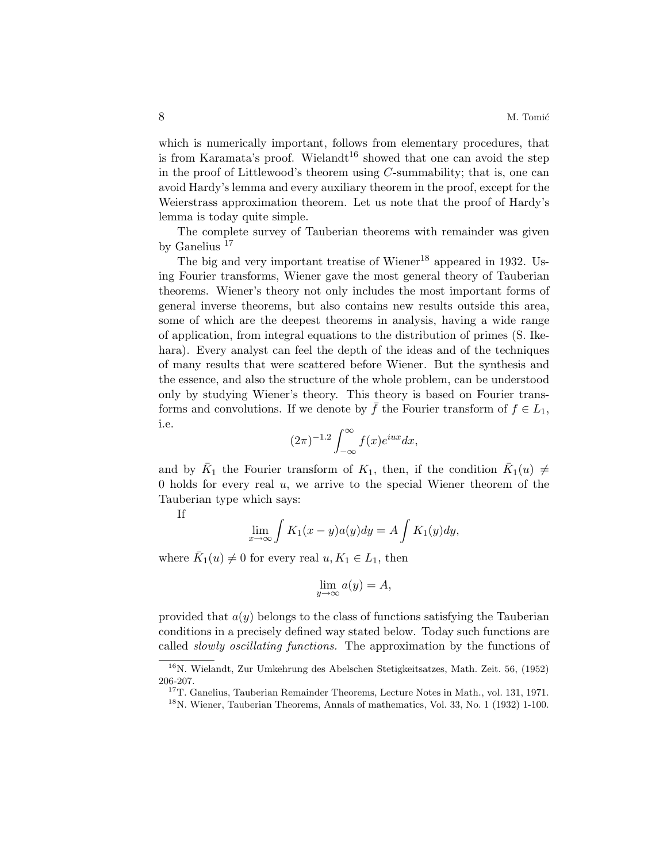which is numerically important, follows from elementary procedures, that is from Karamata's proof. Wielandt<sup>16</sup> showed that one can avoid the step in the proof of Littlewood's theorem using  $C$ -summability; that is, one can avoid Hardy's lemma and every auxiliary theorem in the proof, except for the Weierstrass approximation theorem. Let us note that the proof of Hardy's lemma is today quite simple.

The complete survey of Tauberian theorems with remainder was given by Ganelius <sup>17</sup>

The big and very important treatise of Wiener<sup>18</sup> appeared in 1932. Using Fourier transforms, Wiener gave the most general theory of Tauberian theorems. Wiener's theory not only includes the most important forms of general inverse theorems, but also contains new results outside this area, some of which are the deepest theorems in analysis, having a wide range of application, from integral equations to the distribution of primes (S. Ikehara). Every analyst can feel the depth of the ideas and of the techniques of many results that were scattered before Wiener. But the synthesis and the essence, and also the structure of the whole problem, can be understood only by studying Wiener's theory. This theory is based on Fourier transforms and convolutions. If we denote by  $\bar{f}$  the Fourier transform of  $f \in L_1$ , i.e.  $\overline{r}$ 

$$
(2\pi)^{-1.2} \int_{-\infty}^{\infty} f(x)e^{iux} dx,
$$

and by  $\bar{K}_1$  the Fourier transform of  $K_1$ , then, if the condition  $\bar{K}_1(u) \neq$ 0 holds for every real  $u$ , we arrive to the special Wiener theorem of the Tauberian type which says:

If

$$
\lim_{x \to \infty} \int K_1(x - y) a(y) dy = A \int K_1(y) dy,
$$

where  $\bar{K}_1(u) \neq 0$  for every real  $u, K_1 \in L_1$ , then

$$
\lim_{y \to \infty} a(y) = A,
$$

provided that  $a(y)$  belongs to the class of functions satisfying the Tauberian conditions in a precisely defined way stated below. Today such functions are called slowly oscillating functions. The approximation by the functions of

<sup>16</sup>N. Wielandt, Zur Umkehrung des Abelschen Stetigkeitsatzes, Math. Zeit. 56, (1952) 206-207.

<sup>&</sup>lt;sup>17</sup>T. Ganelius, Tauberian Remainder Theorems, Lecture Notes in Math., vol. 131, 1971.

<sup>18</sup>N. Wiener, Tauberian Theorems, Annals of mathematics, Vol. 33, No. 1 (1932) 1-100.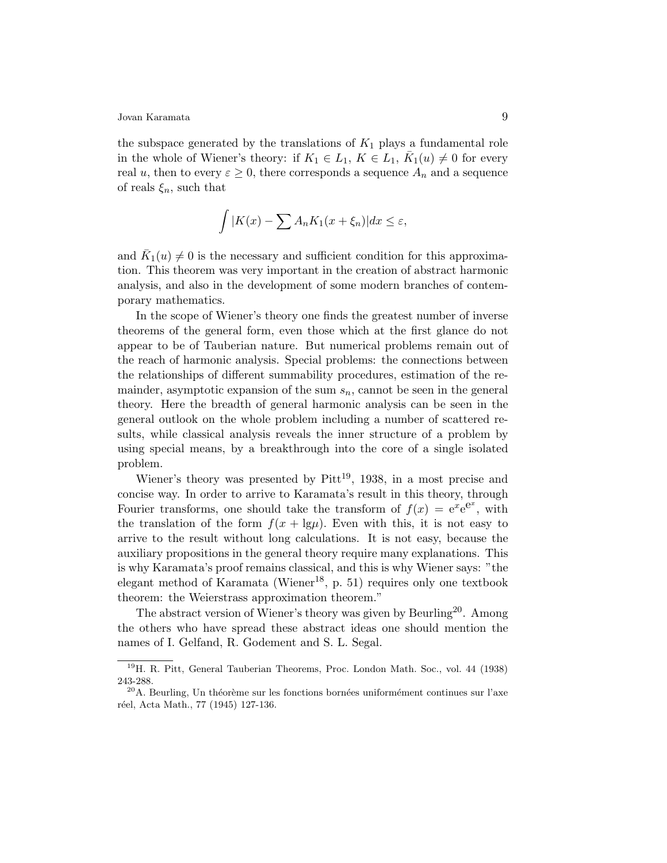the subspace generated by the translations of  $K_1$  plays a fundamental role in the whole of Wiener's theory: if  $K_1 \in L_1$ ,  $K \in L_1$ ,  $\overline{K}_1(u) \neq 0$  for every real u, then to every  $\varepsilon \geq 0$ , there corresponds a sequence  $A_n$  and a sequence of reals  $\xi_n$ , such that

$$
\int |K(x) - \sum A_n K_1(x + \xi_n)| dx \le \varepsilon,
$$

and  $\overline{K}_1(u) \neq 0$  is the necessary and sufficient condition for this approximation. This theorem was very important in the creation of abstract harmonic analysis, and also in the development of some modern branches of contemporary mathematics.

In the scope of Wiener's theory one finds the greatest number of inverse theorems of the general form, even those which at the first glance do not appear to be of Tauberian nature. But numerical problems remain out of the reach of harmonic analysis. Special problems: the connections between the relationships of different summability procedures, estimation of the remainder, asymptotic expansion of the sum  $s_n$ , cannot be seen in the general theory. Here the breadth of general harmonic analysis can be seen in the general outlook on the whole problem including a number of scattered results, while classical analysis reveals the inner structure of a problem by using special means, by a breakthrough into the core of a single isolated problem.

Wiener's theory was presented by  $Pitt^{19}$ , 1938, in a most precise and concise way. In order to arrive to Karamata's result in this theory, through Fourier transforms, one should take the transform of  $f(x) = e^{x}e^{e^x}$ , with the translation of the form  $f(x + \lg \mu)$ . Even with this, it is not easy to arrive to the result without long calculations. It is not easy, because the auxiliary propositions in the general theory require many explanations. This is why Karamata's proof remains classical, and this is why Wiener says: "the elegant method of Karamata (Wiener<sup>18</sup>, p. 51) requires only one textbook theorem: the Weierstrass approximation theorem."

The abstract version of Wiener's theory was given by Beurling<sup>20</sup>. Among the others who have spread these abstract ideas one should mention the names of I. Gelfand, R. Godement and S. L. Segal.

<sup>19</sup>H. R. Pitt, General Tauberian Theorems, Proc. London Math. Soc., vol. 44 (1938) 243-288.

 $^{20}$ A. Beurling, Un théorème sur les fonctions bornées uniformément continues sur l'axe réel, Acta Math., 77 (1945) 127-136.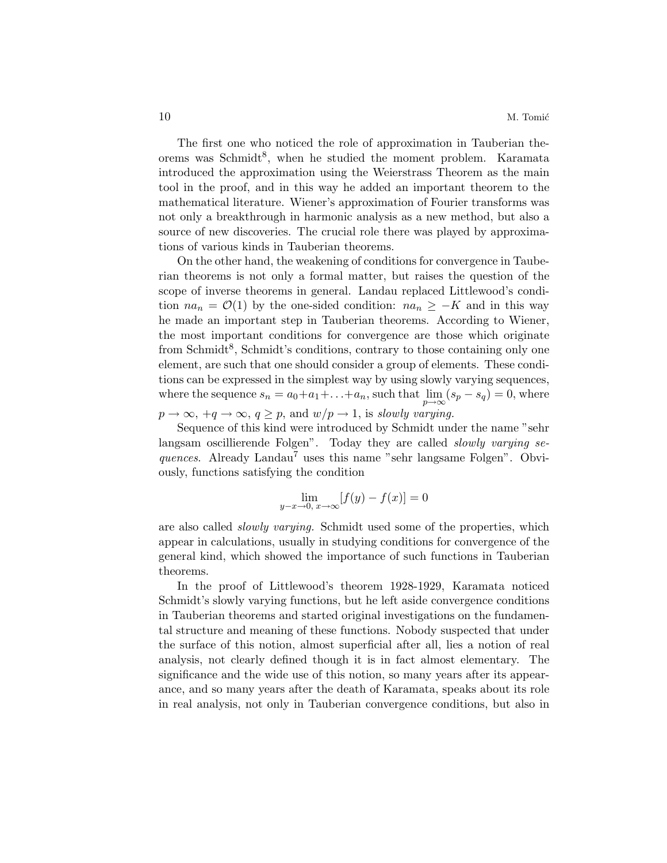The first one who noticed the role of approximation in Tauberian theorems was Schmidt<sup>8</sup>, when he studied the moment problem. Karamata introduced the approximation using the Weierstrass Theorem as the main tool in the proof, and in this way he added an important theorem to the mathematical literature. Wiener's approximation of Fourier transforms was not only a breakthrough in harmonic analysis as a new method, but also a source of new discoveries. The crucial role there was played by approximations of various kinds in Tauberian theorems.

On the other hand, the weakening of conditions for convergence in Tauberian theorems is not only a formal matter, but raises the question of the scope of inverse theorems in general. Landau replaced Littlewood's condition  $na_n = \mathcal{O}(1)$  by the one-sided condition:  $na_n \geq -K$  and in this way he made an important step in Tauberian theorems. According to Wiener, the most important conditions for convergence are those which originate from Schmidt<sup>8</sup>, Schmidt's conditions, contrary to those containing only one element, are such that one should consider a group of elements. These conditions can be expressed in the simplest way by using slowly varying sequences, where the sequence  $s_n = a_0 + a_1 + \ldots + a_n$ , such that  $\lim_{p \to \infty} (s_p - s_q) = 0$ , where

 $p \to \infty$ ,  $+q \to \infty$ ,  $q \geq p$ , and  $w/p \to 1$ , is slowly varying.

Sequence of this kind were introduced by Schmidt under the name "sehr langsam oscillierende Folgen". Today they are called slowly varying sequences. Already Landau<sup>7</sup> uses this name "sehr langsame Folgen". Obviously, functions satisfying the condition

$$
\lim_{y-x \to 0, x \to \infty} [f(y) - f(x)] = 0
$$

are also called slowly varying. Schmidt used some of the properties, which appear in calculations, usually in studying conditions for convergence of the general kind, which showed the importance of such functions in Tauberian theorems.

In the proof of Littlewood's theorem 1928-1929, Karamata noticed Schmidt's slowly varying functions, but he left aside convergence conditions in Tauberian theorems and started original investigations on the fundamental structure and meaning of these functions. Nobody suspected that under the surface of this notion, almost superficial after all, lies a notion of real analysis, not clearly defined though it is in fact almost elementary. The significance and the wide use of this notion, so many years after its appearance, and so many years after the death of Karamata, speaks about its role in real analysis, not only in Tauberian convergence conditions, but also in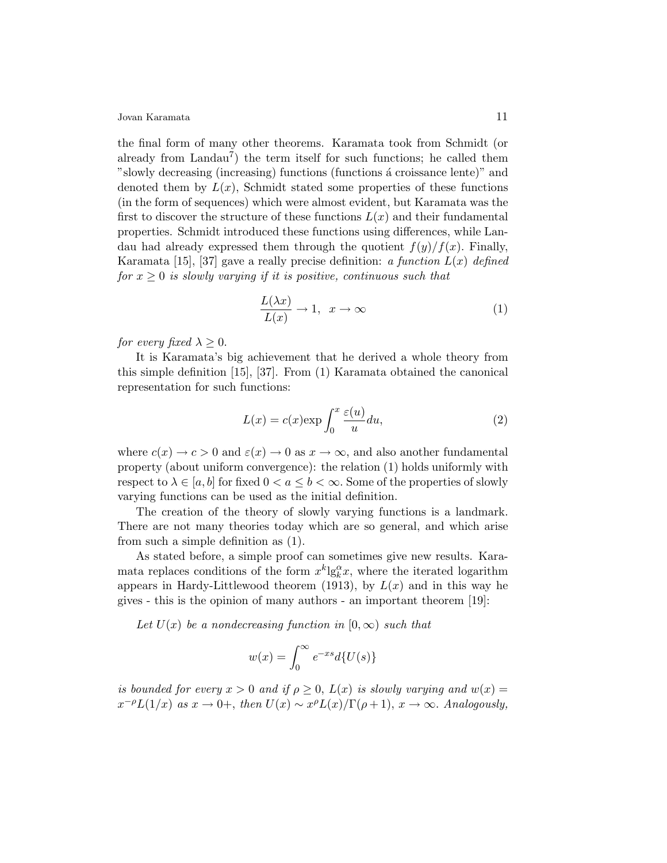the final form of many other theorems. Karamata took from Schmidt (or already from  $Landau^7$ ) the term itself for such functions; he called them "slowly decreasing (increasing) functions (functions a croissance lente)" and denoted them by  $L(x)$ , Schmidt stated some properties of these functions (in the form of sequences) which were almost evident, but Karamata was the first to discover the structure of these functions  $L(x)$  and their fundamental properties. Schmidt introduced these functions using differences, while Landau had already expressed them through the quotient  $f(y)/f(x)$ . Finally, Karamata [15], [37] gave a really precise definition: a function  $L(x)$  defined for  $x \geq 0$  is slowly varying if it is positive, continuous such that

$$
\frac{L(\lambda x)}{L(x)} \to 1, \quad x \to \infty \tag{1}
$$

for every fixed  $\lambda \geq 0$ .

It is Karamata's big achievement that he derived a whole theory from this simple definition [15], [37]. From (1) Karamata obtained the canonical representation for such functions:

$$
L(x) = c(x) \exp \int_0^x \frac{\varepsilon(u)}{u} du,
$$
\n(2)

where  $c(x) \to c > 0$  and  $\varepsilon(x) \to 0$  as  $x \to \infty$ , and also another fundamental property (about uniform convergence): the relation (1) holds uniformly with respect to  $\lambda \in [a, b]$  for fixed  $0 < a \leq b < \infty$ . Some of the properties of slowly varying functions can be used as the initial definition.

The creation of the theory of slowly varying functions is a landmark. There are not many theories today which are so general, and which arise from such a simple definition as (1).

As stated before, a simple proof can sometimes give new results. Karamata replaces conditions of the form  $x^k \lg_k^{\alpha} x$ , where the iterated logarithm appears in Hardy-Littlewood theorem (1913), by  $L(x)$  and in this way he gives - this is the opinion of many authors - an important theorem [19]:

Let  $U(x)$  be a nondecreasing function in  $[0,\infty)$  such that

$$
w(x) = \int_0^\infty e^{-xs} d\{U(s)\}
$$

is bounded for every  $x > 0$  and if  $\rho \geq 0$ ,  $L(x)$  is slowly varying and  $w(x) =$  $x^{-\rho}L(1/x)$  as  $x \to 0^+$ , then  $U(x) \sim x^{\rho}L(x)/\Gamma(\rho+1)$ ,  $x \to \infty$ . Analogously,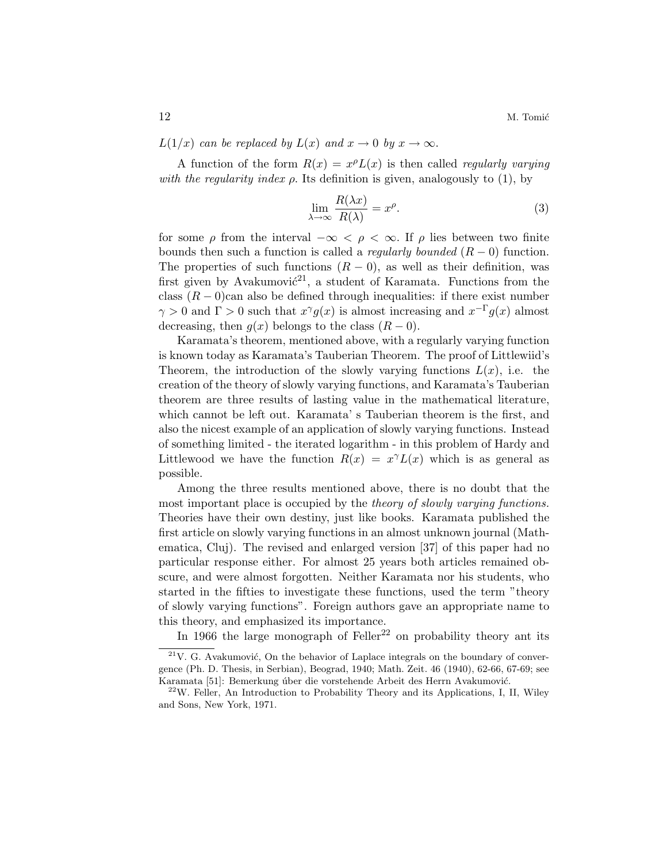$L(1/x)$  can be replaced by  $L(x)$  and  $x \to 0$  by  $x \to \infty$ .

A function of the form  $R(x) = x^{\rho}L(x)$  is then called *regularly varying* with the regularity index  $\rho$ . Its definition is given, analogously to (1), by

$$
\lim_{\lambda \to \infty} \frac{R(\lambda x)}{R(\lambda)} = x^{\rho}.
$$
\n(3)

for some  $\rho$  from the interval  $-\infty < \rho < \infty$ . If  $\rho$  lies between two finite bounds then such a function is called a *regularly bounded*  $(R - 0)$  function. The properties of such functions  $(R - 0)$ , as well as their definition, was first given by Avakumovi $\acute{c}^{21}$ , a student of Karamata. Functions from the class  $(R-0)$ can also be defined through inequalities: if there exist number  $\gamma > 0$  and  $\Gamma > 0$  such that  $x^{\gamma}g(x)$  is almost increasing and  $x^{-\Gamma}g(x)$  almost decreasing, then  $g(x)$  belongs to the class  $(R-0)$ .

Karamata's theorem, mentioned above, with a regularly varying function is known today as Karamata's Tauberian Theorem. The proof of Littlewiid's Theorem, the introduction of the slowly varying functions  $L(x)$ , i.e. the creation of the theory of slowly varying functions, and Karamata's Tauberian theorem are three results of lasting value in the mathematical literature, which cannot be left out. Karamata' s Tauberian theorem is the first, and also the nicest example of an application of slowly varying functions. Instead of something limited - the iterated logarithm - in this problem of Hardy and Littlewood we have the function  $R(x) = x^{\gamma} L(x)$  which is as general as possible.

Among the three results mentioned above, there is no doubt that the most important place is occupied by the *theory of slowly varying functions*. Theories have their own destiny, just like books. Karamata published the first article on slowly varying functions in an almost unknown journal (Mathematica, Cluj). The revised and enlarged version [37] of this paper had no particular response either. For almost 25 years both articles remained obscure, and were almost forgotten. Neither Karamata nor his students, who started in the fifties to investigate these functions, used the term "theory of slowly varying functions". Foreign authors gave an appropriate name to this theory, and emphasized its importance.

In 1966 the large monograph of Feller<sup>22</sup> on probability theory ant its

 $21$ V. G. Avakumović, On the behavior of Laplace integrals on the boundary of convergence (Ph. D. Thesis, in Serbian), Beograd, 1940; Math. Zeit. 46 (1940), 62-66, 67-69; see Karamata [51]: Bemerkung úber die vorstehende Arbeit des Herrn Avakumović.

 $22$ W. Feller, An Introduction to Probability Theory and its Applications, I, II, Wiley and Sons, New York, 1971.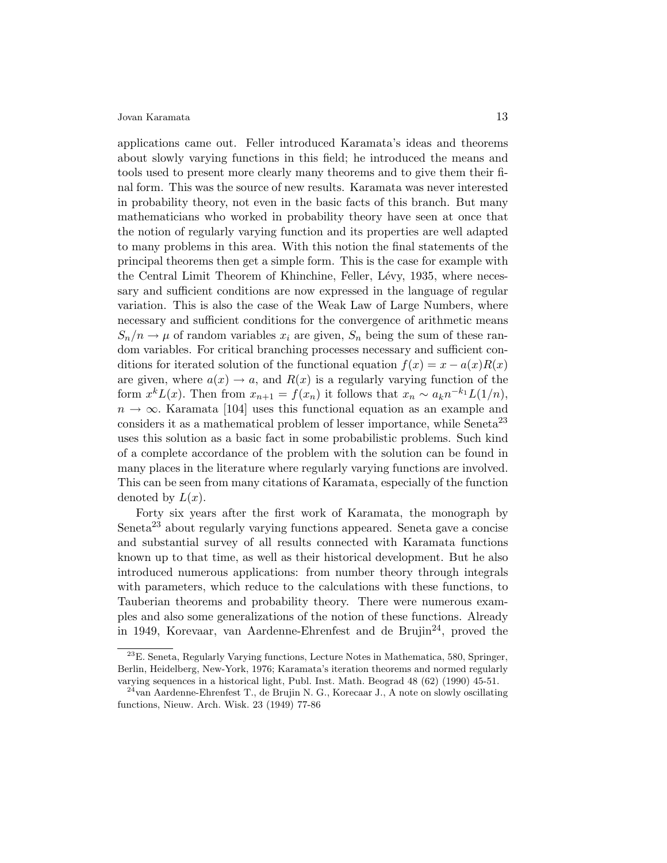applications came out. Feller introduced Karamata's ideas and theorems about slowly varying functions in this field; he introduced the means and tools used to present more clearly many theorems and to give them their final form. This was the source of new results. Karamata was never interested in probability theory, not even in the basic facts of this branch. But many mathematicians who worked in probability theory have seen at once that the notion of regularly varying function and its properties are well adapted to many problems in this area. With this notion the final statements of the principal theorems then get a simple form. This is the case for example with the Central Limit Theorem of Khinchine, Feller, Lévy, 1935, where necessary and sufficient conditions are now expressed in the language of regular variation. This is also the case of the Weak Law of Large Numbers, where necessary and sufficient conditions for the convergence of arithmetic means  $S_n/n \to \mu$  of random variables  $x_i$  are given,  $S_n$  being the sum of these random variables. For critical branching processes necessary and sufficient conditions for iterated solution of the functional equation  $f(x) = x - a(x)R(x)$ are given, where  $a(x) \to a$ , and  $R(x)$  is a regularly varying function of the form  $x^k L(x)$ . Then from  $x_{n+1} = f(x_n)$  it follows that  $x_n \sim a_k n^{-k_1} L(1/n)$ ,  $n \to \infty$ . Karamata [104] uses this functional equation as an example and considers it as a mathematical problem of lesser importance, while Seneta<sup>23</sup> uses this solution as a basic fact in some probabilistic problems. Such kind of a complete accordance of the problem with the solution can be found in many places in the literature where regularly varying functions are involved. This can be seen from many citations of Karamata, especially of the function denoted by  $L(x)$ .

Forty six years after the first work of Karamata, the monograph by Seneta<sup>23</sup> about regularly varying functions appeared. Seneta gave a concise and substantial survey of all results connected with Karamata functions known up to that time, as well as their historical development. But he also introduced numerous applications: from number theory through integrals with parameters, which reduce to the calculations with these functions, to Tauberian theorems and probability theory. There were numerous examples and also some generalizations of the notion of these functions. Already in 1949, Korevaar, van Aardenne-Ehrenfest and de Brujin<sup>24</sup>, proved the

<sup>23</sup>E. Seneta, Regularly Varying functions, Lecture Notes in Mathematica, 580, Springer, Berlin, Heidelberg, New-York, 1976; Karamata's iteration theorems and normed regularly varying sequences in a historical light, Publ. Inst. Math. Beograd 48 (62) (1990) 45-51.

 $24$ van Aardenne-Ehrenfest T., de Brujin N. G., Korecaar J., A note on slowly oscillating functions, Nieuw. Arch. Wisk. 23 (1949) 77-86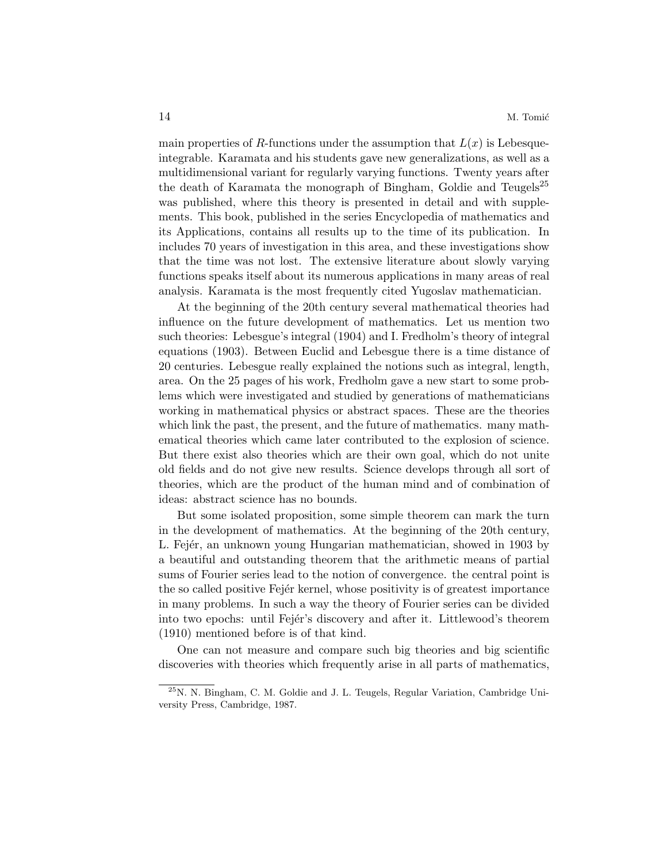main properties of R-functions under the assumption that  $L(x)$  is Lebesqueintegrable. Karamata and his students gave new generalizations, as well as a multidimensional variant for regularly varying functions. Twenty years after the death of Karamata the monograph of Bingham, Goldie and Teugels<sup>25</sup> was published, where this theory is presented in detail and with supplements. This book, published in the series Encyclopedia of mathematics and its Applications, contains all results up to the time of its publication. In includes 70 years of investigation in this area, and these investigations show that the time was not lost. The extensive literature about slowly varying functions speaks itself about its numerous applications in many areas of real analysis. Karamata is the most frequently cited Yugoslav mathematician.

At the beginning of the 20th century several mathematical theories had influence on the future development of mathematics. Let us mention two such theories: Lebesgue's integral (1904) and I. Fredholm's theory of integral equations (1903). Between Euclid and Lebesgue there is a time distance of 20 centuries. Lebesgue really explained the notions such as integral, length, area. On the 25 pages of his work, Fredholm gave a new start to some problems which were investigated and studied by generations of mathematicians working in mathematical physics or abstract spaces. These are the theories which link the past, the present, and the future of mathematics. many mathematical theories which came later contributed to the explosion of science. But there exist also theories which are their own goal, which do not unite old fields and do not give new results. Science develops through all sort of theories, which are the product of the human mind and of combination of ideas: abstract science has no bounds.

But some isolated proposition, some simple theorem can mark the turn in the development of mathematics. At the beginning of the 20th century, L. Fejér, an unknown young Hungarian mathematician, showed in 1903 by a beautiful and outstanding theorem that the arithmetic means of partial sums of Fourier series lead to the notion of convergence. the central point is the so called positive Fejer kernel, whose positivity is of greatest importance in many problems. In such a way the theory of Fourier series can be divided into two epochs: until Fejer's discovery and after it. Littlewood's theorem (1910) mentioned before is of that kind.

One can not measure and compare such big theories and big scientific discoveries with theories which frequently arise in all parts of mathematics,

<sup>25</sup>N. N. Bingham, C. M. Goldie and J. L. Teugels, Regular Variation, Cambridge University Press, Cambridge, 1987.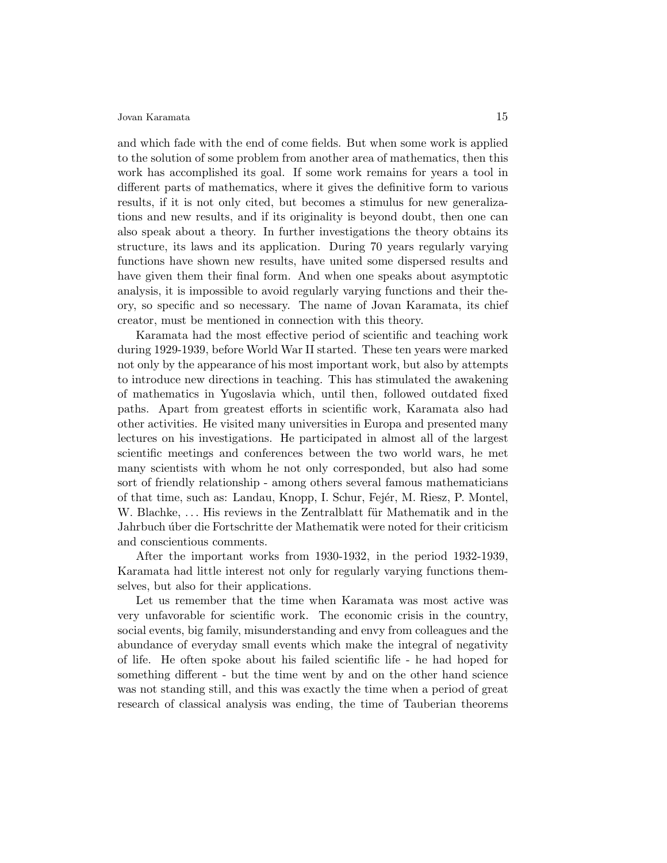and which fade with the end of come fields. But when some work is applied to the solution of some problem from another area of mathematics, then this work has accomplished its goal. If some work remains for years a tool in different parts of mathematics, where it gives the definitive form to various results, if it is not only cited, but becomes a stimulus for new generalizations and new results, and if its originality is beyond doubt, then one can also speak about a theory. In further investigations the theory obtains its structure, its laws and its application. During 70 years regularly varying functions have shown new results, have united some dispersed results and have given them their final form. And when one speaks about asymptotic analysis, it is impossible to avoid regularly varying functions and their theory, so specific and so necessary. The name of Jovan Karamata, its chief creator, must be mentioned in connection with this theory.

Karamata had the most effective period of scientific and teaching work during 1929-1939, before World War II started. These ten years were marked not only by the appearance of his most important work, but also by attempts to introduce new directions in teaching. This has stimulated the awakening of mathematics in Yugoslavia which, until then, followed outdated fixed paths. Apart from greatest efforts in scientific work, Karamata also had other activities. He visited many universities in Europa and presented many lectures on his investigations. He participated in almost all of the largest scientific meetings and conferences between the two world wars, he met many scientists with whom he not only corresponded, but also had some sort of friendly relationship - among others several famous mathematicians of that time, such as: Landau, Knopp, I. Schur, Fejér, M. Riesz, P. Montel, W. Blachke, ... His reviews in the Zentralblatt für Mathematik and in the Jahrbuch úber die Fortschritte der Mathematik were noted for their criticism and conscientious comments.

After the important works from 1930-1932, in the period 1932-1939, Karamata had little interest not only for regularly varying functions themselves, but also for their applications.

Let us remember that the time when Karamata was most active was very unfavorable for scientific work. The economic crisis in the country, social events, big family, misunderstanding and envy from colleagues and the abundance of everyday small events which make the integral of negativity of life. He often spoke about his failed scientific life - he had hoped for something different - but the time went by and on the other hand science was not standing still, and this was exactly the time when a period of great research of classical analysis was ending, the time of Tauberian theorems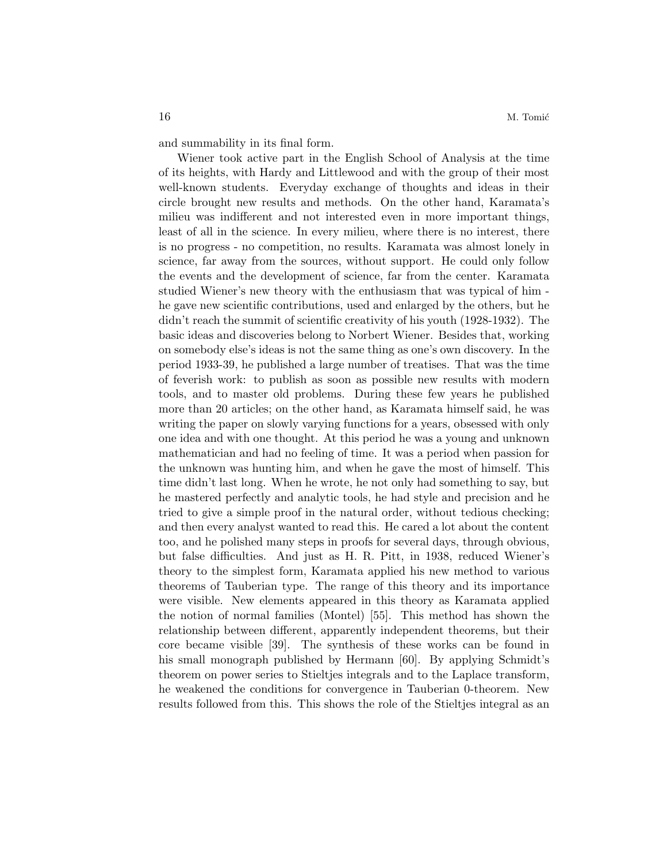and summability in its final form.

Wiener took active part in the English School of Analysis at the time of its heights, with Hardy and Littlewood and with the group of their most well-known students. Everyday exchange of thoughts and ideas in their circle brought new results and methods. On the other hand, Karamata's milieu was indifferent and not interested even in more important things, least of all in the science. In every milieu, where there is no interest, there is no progress - no competition, no results. Karamata was almost lonely in science, far away from the sources, without support. He could only follow the events and the development of science, far from the center. Karamata studied Wiener's new theory with the enthusiasm that was typical of him he gave new scientific contributions, used and enlarged by the others, but he didn't reach the summit of scientific creativity of his youth (1928-1932). The basic ideas and discoveries belong to Norbert Wiener. Besides that, working on somebody else's ideas is not the same thing as one's own discovery. In the period 1933-39, he published a large number of treatises. That was the time of feverish work: to publish as soon as possible new results with modern tools, and to master old problems. During these few years he published more than 20 articles; on the other hand, as Karamata himself said, he was writing the paper on slowly varying functions for a years, obsessed with only one idea and with one thought. At this period he was a young and unknown mathematician and had no feeling of time. It was a period when passion for the unknown was hunting him, and when he gave the most of himself. This time didn't last long. When he wrote, he not only had something to say, but he mastered perfectly and analytic tools, he had style and precision and he tried to give a simple proof in the natural order, without tedious checking; and then every analyst wanted to read this. He cared a lot about the content too, and he polished many steps in proofs for several days, through obvious, but false difficulties. And just as H. R. Pitt, in 1938, reduced Wiener's theory to the simplest form, Karamata applied his new method to various theorems of Tauberian type. The range of this theory and its importance were visible. New elements appeared in this theory as Karamata applied the notion of normal families (Montel) [55]. This method has shown the relationship between different, apparently independent theorems, but their core became visible [39]. The synthesis of these works can be found in his small monograph published by Hermann [60]. By applying Schmidt's theorem on power series to Stieltjes integrals and to the Laplace transform, he weakened the conditions for convergence in Tauberian 0-theorem. New results followed from this. This shows the role of the Stieltjes integral as an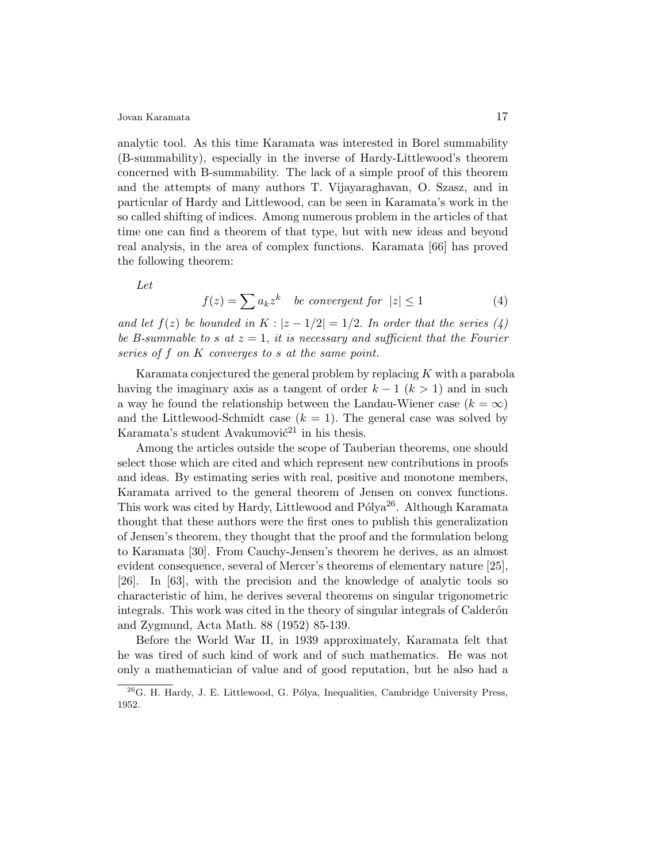analytic tool. As this time Karamata was interested in Borel summability (B-summability), especially in the inverse of Hardy-Littlewood's theorem concerned with B-summability. The lack of a simple proof of this theorem and the attempts of many authors T. Vijayaraghavan, O. Szasz, and in particular of Hardy and Littlewood, can be seen in Karamata's work in the so called shifting of indices. Among numerous problem in the articles of that time one can find a theorem of that type, but with new ideas and beyond real analysis, in the area of complex functions. Karamata [66] has proved the following theorem:

Let

$$
f(z) = \sum a_k z^k \quad \text{be convergent for } |z| \le 1 \tag{4}
$$

and let  $f(z)$  be bounded in  $K : |z - 1/2| = 1/2$ . In order that the series  $(4)$ be B-summable to s at  $z = 1$ , it is necessary and sufficient that the Fourier series of f on K converges to s at the same point.

Karamata conjectured the general problem by replacing  $K$  with a parabola having the imaginary axis as a tangent of order  $k - 1$  ( $k > 1$ ) and in such a way he found the relationship between the Landau-Wiener case  $(k = \infty)$ and the Littlewood-Schmidt case  $(k = 1)$ . The general case was solved by Karamata's student Avakumovi $\acute{c}^{21}$  in his thesis.

Among the articles outside the scope of Tauberian theorems, one should select those which are cited and which represent new contributions in proofs and ideas. By estimating series with real, positive and monotone members, Karamata arrived to the general theorem of Jensen on convex functions. This work was cited by Hardy, Littlewood and Pólya<sup>26</sup>. Although Karamata thought that these authors were the first ones to publish this generalization of Jensen's theorem, they thought that the proof and the formulation belong to Karamata [30]. From Cauchy-Jensen's theorem he derives, as an almost evident consequence, several of Mercer's theorems of elementary nature [25], [26]. In [63], with the precision and the knowledge of analytic tools so characteristic of him, he derives several theorems on singular trigonometric integrals. This work was cited in the theory of singular integrals of Calderón and Zygmund, Acta Math. 88 (1952) 85-139.

Before the World War II, in 1939 approximately, Karamata felt that he was tired of such kind of work and of such mathematics. He was not only a mathematician of value and of good reputation, but he also had a

 $^{26}$ G. H. Hardy, J. E. Littlewood, G. Pólya, Inequalities, Cambridge University Press, 1952.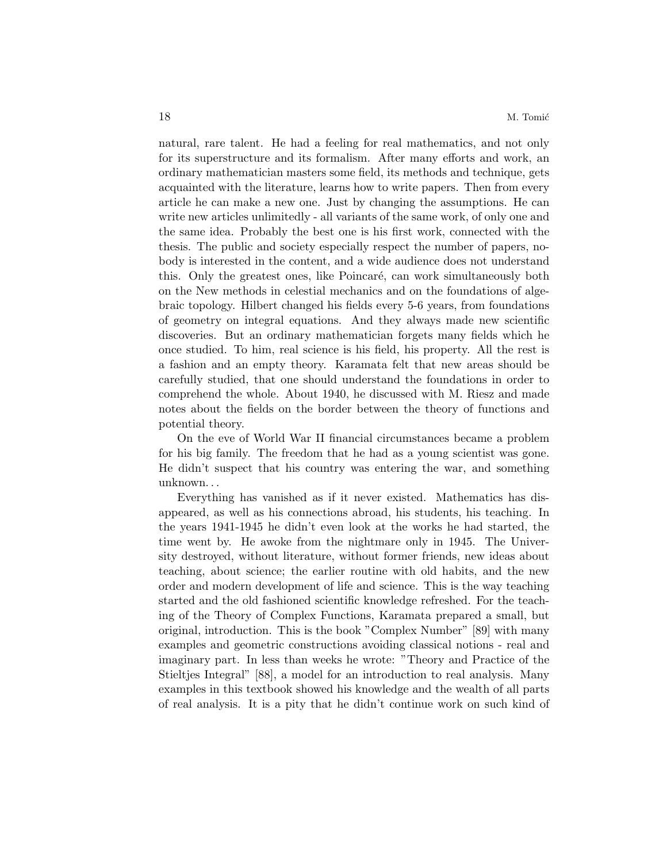natural, rare talent. He had a feeling for real mathematics, and not only for its superstructure and its formalism. After many efforts and work, an ordinary mathematician masters some field, its methods and technique, gets acquainted with the literature, learns how to write papers. Then from every article he can make a new one. Just by changing the assumptions. He can write new articles unlimitedly - all variants of the same work, of only one and the same idea. Probably the best one is his first work, connected with the thesis. The public and society especially respect the number of papers, nobody is interested in the content, and a wide audience does not understand this. Only the greatest ones, like Poincaré, can work simultaneously both on the New methods in celestial mechanics and on the foundations of algebraic topology. Hilbert changed his fields every 5-6 years, from foundations of geometry on integral equations. And they always made new scientific discoveries. But an ordinary mathematician forgets many fields which he once studied. To him, real science is his field, his property. All the rest is a fashion and an empty theory. Karamata felt that new areas should be carefully studied, that one should understand the foundations in order to comprehend the whole. About 1940, he discussed with M. Riesz and made notes about the fields on the border between the theory of functions and potential theory.

On the eve of World War II financial circumstances became a problem for his big family. The freedom that he had as a young scientist was gone. He didn't suspect that his country was entering the war, and something unknown. . .

Everything has vanished as if it never existed. Mathematics has disappeared, as well as his connections abroad, his students, his teaching. In the years 1941-1945 he didn't even look at the works he had started, the time went by. He awoke from the nightmare only in 1945. The University destroyed, without literature, without former friends, new ideas about teaching, about science; the earlier routine with old habits, and the new order and modern development of life and science. This is the way teaching started and the old fashioned scientific knowledge refreshed. For the teaching of the Theory of Complex Functions, Karamata prepared a small, but original, introduction. This is the book "Complex Number" [89] with many examples and geometric constructions avoiding classical notions - real and imaginary part. In less than weeks he wrote: "Theory and Practice of the Stieltjes Integral" [88], a model for an introduction to real analysis. Many examples in this textbook showed his knowledge and the wealth of all parts of real analysis. It is a pity that he didn't continue work on such kind of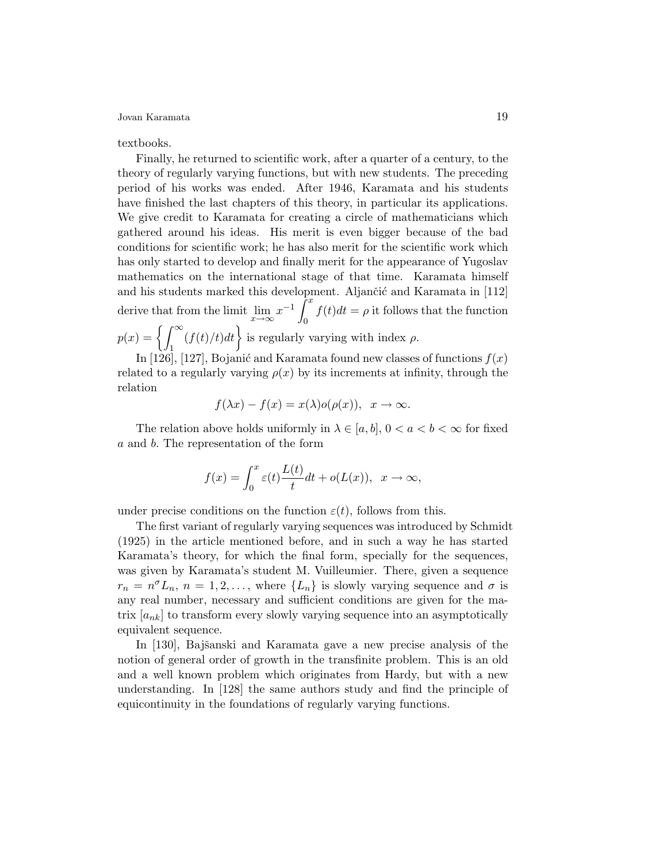### textbooks.

Finally, he returned to scientific work, after a quarter of a century, to the theory of regularly varying functions, but with new students. The preceding period of his works was ended. After 1946, Karamata and his students have finished the last chapters of this theory, in particular its applications. We give credit to Karamata for creating a circle of mathematicians which gathered around his ideas. His merit is even bigger because of the bad conditions for scientific work; he has also merit for the scientific work which has only started to develop and finally merit for the appearance of Yugoslav mathematics on the international stage of that time. Karamata himself and his students marked this development. Aljančić and Karamata in [112] derive that from the limit  $\lim_{x\to\infty} x^{-1} \int_0^x$ 0  $f(t)dt = \rho$  it follows that the function  $p(x) = \left\{ \int_{0}^{\infty}$ 1  $(f(t)/t)dt$  is regularly varying with index  $\rho$ .

In [126], [127], Bojanić and Karamata found new classes of functions  $f(x)$ related to a regularly varying  $\rho(x)$  by its increments at infinity, through the relation

$$
f(\lambda x) - f(x) = x(\lambda) o(\rho(x)), \ \ x \to \infty.
$$

The relation above holds uniformly in  $\lambda \in [a, b]$ ,  $0 < a < b < \infty$  for fixed a and b. The representation of the form

$$
f(x) = \int_0^x \varepsilon(t) \frac{L(t)}{t} dt + o(L(x)), \ \ x \to \infty,
$$

under precise conditions on the function  $\varepsilon(t)$ , follows from this.

The first variant of regularly varying sequences was introduced by Schmidt (1925) in the article mentioned before, and in such a way he has started Karamata's theory, for which the final form, specially for the sequences, was given by Karamata's student M. Vuilleumier. There, given a sequence  $r_n = n^{\sigma} L_n$ ,  $n = 1, 2, \ldots$ , where  $\{L_n\}$  is slowly varying sequence and  $\sigma$  is any real number, necessary and sufficient conditions are given for the matrix  $[a_{nk}]$  to transform every slowly varying sequence into an asymptotically equivalent sequence.

In [130], Bajšanski and Karamata gave a new precise analysis of the notion of general order of growth in the transfinite problem. This is an old and a well known problem which originates from Hardy, but with a new understanding. In [128] the same authors study and find the principle of equicontinuity in the foundations of regularly varying functions.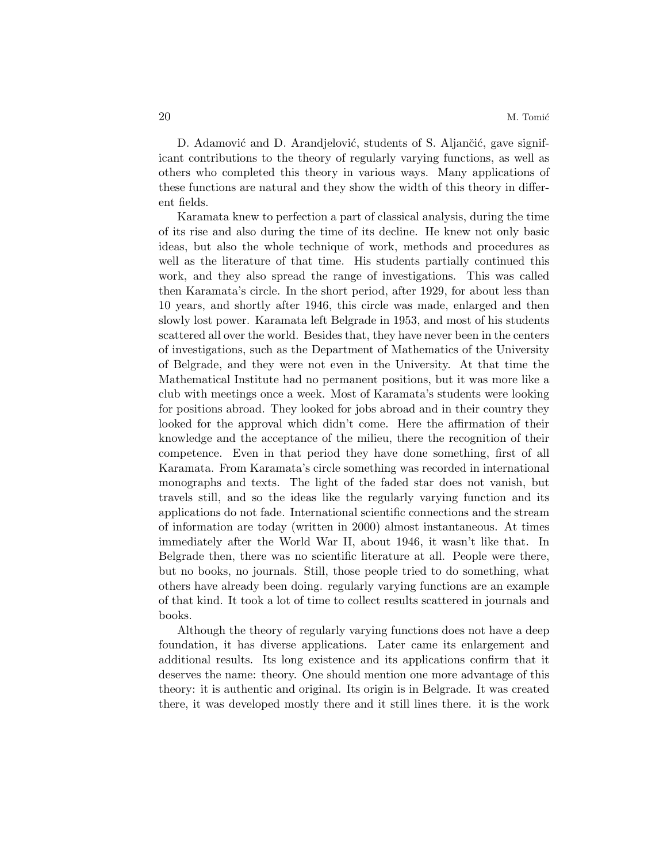D. Adamović and D. Arandjelović, students of S. Aljančić, gave significant contributions to the theory of regularly varying functions, as well as others who completed this theory in various ways. Many applications of these functions are natural and they show the width of this theory in different fields.

Karamata knew to perfection a part of classical analysis, during the time of its rise and also during the time of its decline. He knew not only basic ideas, but also the whole technique of work, methods and procedures as well as the literature of that time. His students partially continued this work, and they also spread the range of investigations. This was called then Karamata's circle. In the short period, after 1929, for about less than 10 years, and shortly after 1946, this circle was made, enlarged and then slowly lost power. Karamata left Belgrade in 1953, and most of his students scattered all over the world. Besides that, they have never been in the centers of investigations, such as the Department of Mathematics of the University of Belgrade, and they were not even in the University. At that time the Mathematical Institute had no permanent positions, but it was more like a club with meetings once a week. Most of Karamata's students were looking for positions abroad. They looked for jobs abroad and in their country they looked for the approval which didn't come. Here the affirmation of their knowledge and the acceptance of the milieu, there the recognition of their competence. Even in that period they have done something, first of all Karamata. From Karamata's circle something was recorded in international monographs and texts. The light of the faded star does not vanish, but travels still, and so the ideas like the regularly varying function and its applications do not fade. International scientific connections and the stream of information are today (written in 2000) almost instantaneous. At times immediately after the World War II, about 1946, it wasn't like that. In Belgrade then, there was no scientific literature at all. People were there, but no books, no journals. Still, those people tried to do something, what others have already been doing. regularly varying functions are an example of that kind. It took a lot of time to collect results scattered in journals and books.

Although the theory of regularly varying functions does not have a deep foundation, it has diverse applications. Later came its enlargement and additional results. Its long existence and its applications confirm that it deserves the name: theory. One should mention one more advantage of this theory: it is authentic and original. Its origin is in Belgrade. It was created there, it was developed mostly there and it still lines there. it is the work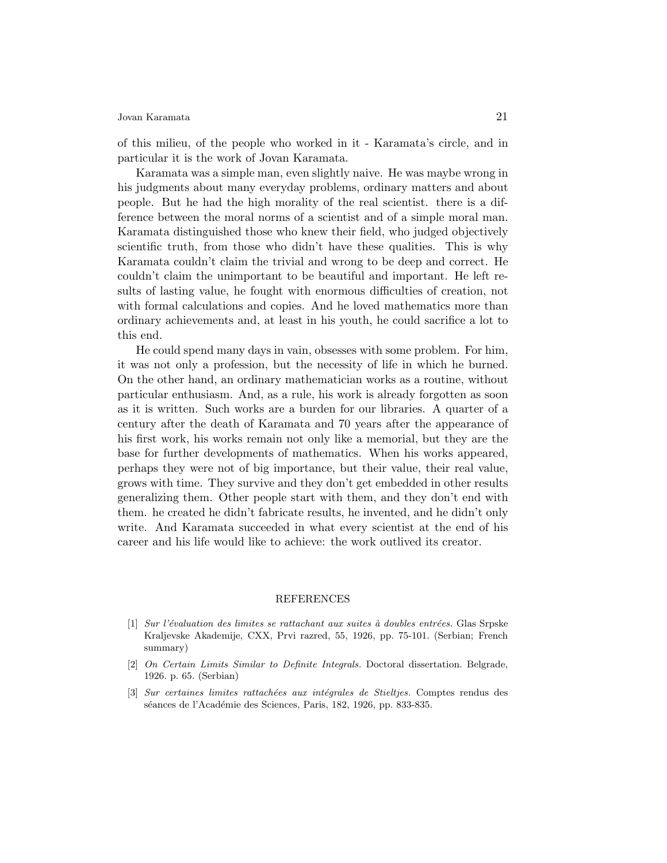of this milieu, of the people who worked in it - Karamata's circle, and in particular it is the work of Jovan Karamata.

Karamata was a simple man, even slightly naive. He was maybe wrong in his judgments about many everyday problems, ordinary matters and about people. But he had the high morality of the real scientist. there is a difference between the moral norms of a scientist and of a simple moral man. Karamata distinguished those who knew their field, who judged objectively scientific truth, from those who didn't have these qualities. This is why Karamata couldn't claim the trivial and wrong to be deep and correct. He couldn't claim the unimportant to be beautiful and important. He left results of lasting value, he fought with enormous difficulties of creation, not with formal calculations and copies. And he loved mathematics more than ordinary achievements and, at least in his youth, he could sacrifice a lot to this end.

He could spend many days in vain, obsesses with some problem. For him, it was not only a profession, but the necessity of life in which he burned. On the other hand, an ordinary mathematician works as a routine, without particular enthusiasm. And, as a rule, his work is already forgotten as soon as it is written. Such works are a burden for our libraries. A quarter of a century after the death of Karamata and 70 years after the appearance of his first work, his works remain not only like a memorial, but they are the base for further developments of mathematics. When his works appeared, perhaps they were not of big importance, but their value, their real value, grows with time. They survive and they don't get embedded in other results generalizing them. Other people start with them, and they don't end with them. he created he didn't fabricate results, he invented, and he didn't only write. And Karamata succeeded in what every scientist at the end of his career and his life would like to achieve: the work outlived its creator.

#### REFERENCES

- $[1]$  Sur l'évaluation des limites se rattachant aux suites à doubles entrées. Glas Srpske Kraljevske Akademije, CXX, Prvi razred, 55, 1926, pp. 75-101. (Serbian; French summary)
- [2] On Certain Limits Similar to Definite Integrals. Doctoral dissertation. Belgrade, 1926. p. 65. (Serbian)
- [3] Sur certaines limites rattachées aux intégrales de Stieltjes. Comptes rendus des séances de l'Académie des Sciences, Paris, 182, 1926, pp. 833-835.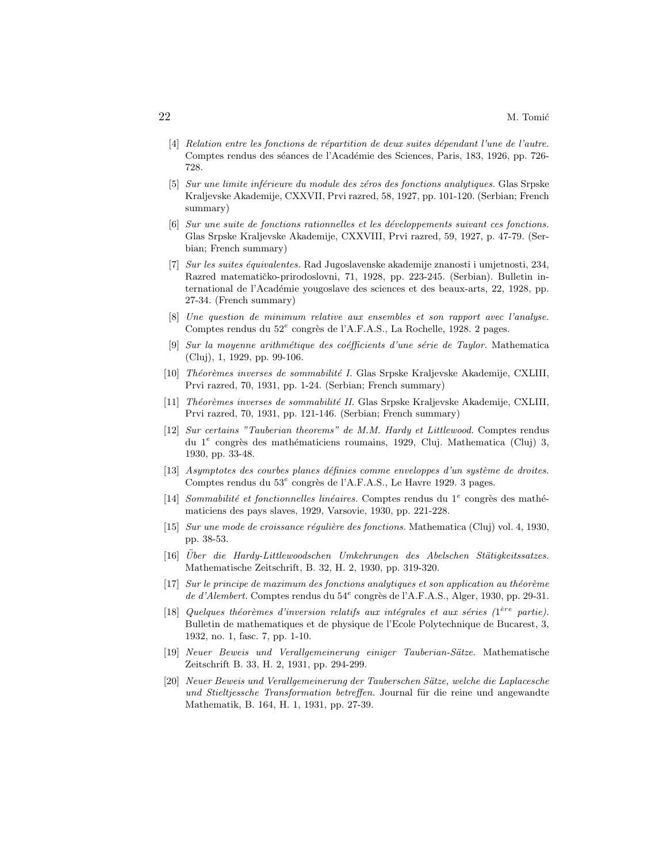- $[4]$  Relation entre les fonctions de répartition de deux suites dépendant l'une de l'autre. Comptes rendus des séances de l'Académie des Sciences, Paris, 183, 1926, pp. 726-728.
- [5] Sur une limite inférieure du module des zéros des fonctions analytiques. Glas Srpske Kraljevske Akademije, CXXVII, Prvi razred, 58, 1927, pp. 101-120. (Serbian; French summary)
- [6] Sur une suite de fonctions rationnelles et les d´eveloppements suivant ces fonctions. Glas Srpske Kraljevske Akademije, CXXVIII, Prvi razred, 59, 1927, p. 47-79. (Serbian; French summary)
- [7] Sur les suites équivalentes. Rad Jugoslavenske akademije znanosti i umjetnosti, 234, Razred matematičko-prirodoslovni, 71, 1928, pp. 223-245. (Serbian). Bulletin international de l'Académie yougoslave des sciences et des beaux-arts, 22, 1928, pp. 27-34. (French summary)
- [8] Une question de minimum relative aux ensembles et son rapport avec l'analyse. Comptes rendus du 52<sup>e</sup> congrès de l'A.F.A.S., La Rochelle, 1928. 2 pages.
- $[9]$  Sur la moyenne arithmétique des coéfficients d'une série de Taylor. Mathematica (Cluj), 1, 1929, pp. 99-106.
- [10] Théorèmes inverses de sommabilité I. Glas Srpske Kraljevske Akademije, CXLIII, Prvi razred, 70, 1931, pp. 1-24. (Serbian; French summary)
- [11] Théorèmes inverses de sommabilité II. Glas Srpske Kraljevske Akademije, CXLIII, Prvi razred, 70, 1931, pp. 121-146. (Serbian; French summary)
- [12] Sur certains "Tauberian theorems" de M.M. Hardy et Littlewood. Comptes rendus du 1<sup>e</sup> congrès des mathématiciens roumains, 1929, Cluj. Mathematica (Cluj) 3, 1930, pp. 33-48.
- $[13]$  Asymptotes des courbes planes définies comme enveloppes d'un système de droites. Comptes rendus du  $53<sup>e</sup>$  congrès de l'A.F.A.S., Le Havre 1929. 3 pages.
- [14] Sommabilité et fonctionnelles linéaires. Comptes rendus du  $1^e$  congrès des mathématiciens des pays slaves, 1929, Varsovie, 1930, pp. 221-228.
- [15] Sur une mode de croissance régulière des fonctions. Mathematica (Cluj) vol. 4, 1930, pp. 38-53.
- $[16]$  Über die Hardy-Littlewoodschen Umkehrungen des Abelschen Stätigkeitssatzes. Mathematische Zeitschrift, B. 32, H. 2, 1930, pp. 319-320.
- $[17]$  Sur le principe de maximum des fonctions analytiques et son application au théorème de d'Alembert. Comptes rendus du 54<sup>e</sup> congrès de l'A.F.A.S., Alger, 1930, pp. 29-31.
- [18] Quelques théorèmes d'inversion relatifs aux intégrales et aux séries ( $1^{ère}$  partie). Bulletin de mathematiques et de physique de l'Ecole Polytechnique de Bucarest, 3, 1932, no. 1, fasc. 7, pp. 1-10.
- [19] Neuer Beweis und Verallgemeinerung einiger Tauberian-Sätze. Mathematische Zeitschrift B. 33, H. 2, 1931, pp. 294-299.
- [20] Neuer Beweis und Verallgemeinerung der Tauberschen Sätze, welche die Laplacesche und Stieltjessche Transformation betreffen. Journal für die reine und angewandte Mathematik, B. 164, H. 1, 1931, pp. 27-39.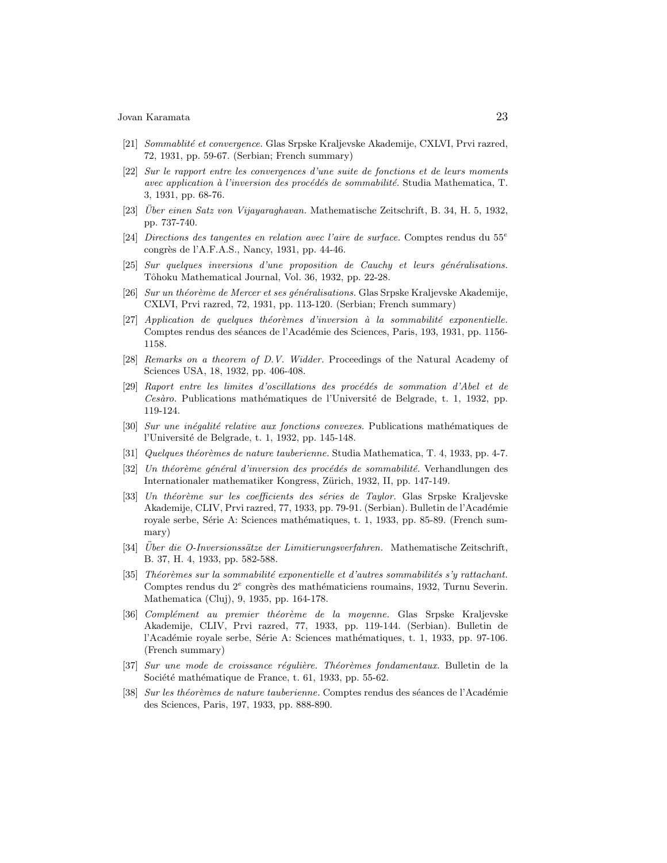- [21] Sommablit´e et convergence. Glas Srpske Kraljevske Akademije, CXLVI, Prvi razred, 72, 1931, pp. 59-67. (Serbian; French summary)
- [22] Sur le rapport entre les convergences d'une suite de fonctions et de leurs moments avec application à l'inversion des procédés de sommabilité. Studia Mathematica, T. 3, 1931, pp. 68-76.
- $[23]$  *Über einen Satz von Vijayaraghavan*. Mathematische Zeitschrift, B. 34, H. 5, 1932. pp. 737-740.
- [24] Directions des tangentes en relation avec l'aire de surface. Comptes rendus du 55<sup>e</sup> congrès de l'A.F.A.S., Nancy, 1931, pp. 44-46.
- $[25]$  Sur quelques inversions d'une proposition de Cauchy et leurs généralisations. Tôhoku Mathematical Journal, Vol. 36, 1932, pp. 22-28.
- [26] Sur un théorème de Mercer et ses généralisations. Glas Srpske Kraljevske Akademije, CXLVI, Prvi razred, 72, 1931, pp. 113-120. (Serbian; French summary)
- $[27]$  Application de quelques théorèmes d'inversion à la sommabilité exponentielle. Comptes rendus des séances de l'Académie des Sciences, Paris, 193, 1931, pp. 1156-1158.
- [28] Remarks on a theorem of D.V. Widder. Proceedings of the Natural Academy of Sciences USA, 18, 1932, pp. 406-408.
- $[29]$  Raport entre les limites d'oscillations des procédés de sommation d'Abel et de  $Cesàro.$  Publications mathématiques de l'Université de Belgrade, t. 1, 1932, pp. 119-124.
- [30] Sur une inégalité relative aux fonctions convexes. Publications mathématiques de l'Université de Belgrade, t. 1, 1932, pp. 145-148.
- [31] Quelques théorèmes de nature tauberienne. Studia Mathematica, T. 4, 1933, pp. 4-7.
- [32] Un théorème général d'inversion des procédés de sommabilité. Verhandlungen des Internationaler mathematiker Kongress, Zürich, 1932, II, pp. 147-149.
- [33] Un théorème sur les coefficients des séries de Taylor. Glas Srpske Kraljevske Akademije, CLIV, Prvi razred, 77, 1933, pp. 79-91. (Serbian). Bulletin de l'Académie royale serbe, Série A: Sciences mathématiques, t. 1, 1933, pp. 85-89. (French summary)
- [34] Über die O-Inversionssätze der Limitierungsverfahren. Mathematische Zeitschrift, B. 37, H. 4, 1933, pp. 582-588.
- $[35]$  Théorèmes sur la sommabilité exponentielle et d'autres sommabilités s'y rattachant. Comptes rendus du  $2^e$  congrès des mathématiciens roumains, 1932, Turnu Severin. Mathematica (Cluj), 9, 1935, pp. 164-178.
- [36] Complément au premier théorème de la moyenne. Glas Srpske Kraljevske Akademije, CLIV, Prvi razred, 77, 1933, pp. 119-144. (Serbian). Bulletin de l'Académie royale serbe, Série A: Sciences mathématiques, t. 1, 1933, pp. 97-106. (French summary)
- [37] Sur une mode de croissance régulière. Théorèmes fondamentaux. Bulletin de la Société mathématique de France, t. 61, 1933, pp. 55-62.
- [38] Sur les théorèmes de nature tauberienne. Comptes rendus des séances de l'Académie des Sciences, Paris, 197, 1933, pp. 888-890.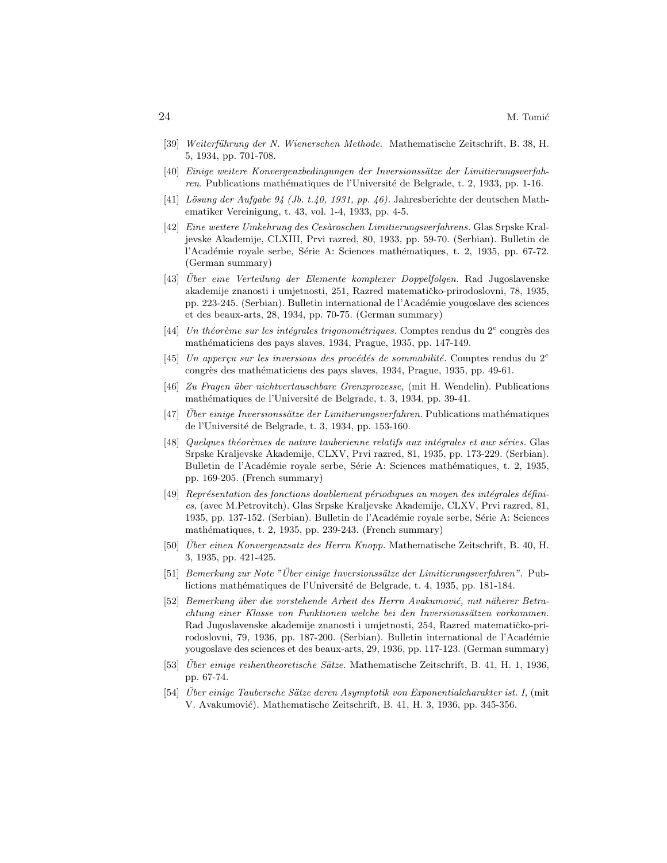- [39] Weiterführung der N. Wienerschen Methode. Mathematische Zeitschrift, B. 38, H. 5, 1934, pp. 701-708.
- [40] Einige weitere Konvergenzbedingungen der Inversionssätze der Limitierungsverfahren. Publications mathématiques de l'Université de Belgrade, t. 2, 1933, pp. 1-16.
- [41] Lösung der Aufgabe 94 (Jb. t.40, 1931, pp. 46). Jahresberichte der deutschen Mathematiker Vereinigung, t. 43, vol. 1-4, 1933, pp. 4-5.
- [42] Eine weitere Umkehrung des Cesàroschen Limitierungsverfahrens. Glas Srpske Kraljevske Akademije, CLXIII, Prvi razred, 80, 1933, pp. 59-70. (Serbian). Bulletin de l'Académie royale serbe, Série A: Sciences mathématiques, t. 2, 1935, pp. 67-72. (German summary)
- [43] Über eine Verteilung der Elemente komplexer Doppelfolgen. Rad Jugoslavenske akademije znanosti i umjetnosti, 251, Razred matematičko-prirodoslovni, 78, 1935, pp. 223-245. (Serbian). Bulletin international de l'Académie yougoslave des sciences et des beaux-arts, 28, 1934, pp. 70-75. (German summary)
- [44] Un théorème sur les intégrales trigonométriques. Comptes rendus du  $2^e$  congrès des mathématiciens des pays slaves, 1934, Prague, 1935, pp. 147-149.
- [45] Un apperçu sur les inversions des procédés de sommabilité. Comptes rendus du 2<sup>e</sup> congrès des mathématiciens des pays slaves, 1934, Prague, 1935, pp. 49-61.
- [46] Zu Fragen ¨uber nichtvertauschbare Grenzprozesse, (mit H. Wendelin). Publications mathématiques de l'Université de Belgrade, t. 3, 1934, pp. 39-41.
- $[47]$  Uber einige Inversionssätze der Limitierungsverfahren. Publications mathématiques de l'Université de Belgrade, t. 3, 1934, pp. 153-160.
- [48] Quelques théorèmes de nature tauberienne relatifs aux intégrales et aux séries. Glas Srpske Kraljevske Akademije, CLXV, Prvi razred, 81, 1935, pp. 173-229. (Serbian). Bulletin de l'Académie royale serbe, Série A: Sciences mathématiques, t. 2, 1935, pp. 169-205. (French summary)
- [49] Représentation des fonctions doublement périodiques au moyen des intégrales définies, (avec M.Petrovitch). Glas Srpske Kraljevske Akademije, CLXV, Prvi razred, 81, 1935, pp. 137-152. (Serbian). Bulletin de l'Académie royale serbe, Série A: Sciences mathématiques, t. 2, 1935, pp. 239-243. (French summary)
- [50] Uber einen Konvergenzsatz des Herrn Knopp. Mathematische Zeitschrift, B. 40, H. 3, 1935, pp. 421-425.
- $[51]$  Bemerkung zur Note "Über einige Inversionssätze der Limitierungsverfahren". Publictions mathématiques de l'Université de Belgrade, t. 4, 1935, pp. 181-184.
- [52] Bemerkung über die vorstehende Arbeit des Herrn Avakumović, mit näherer Betrachtung einer Klasse von Funktionen welche bei den Inversionssätzen vorkommen. Rad Jugoslavenske akademije znanosti i umjetnosti, 254, Razred matematičko-prirodoslovni, 79, 1936, pp. 187-200. (Serbian). Bulletin international de l'Académie yougoslave des sciences et des beaux-arts, 29, 1936, pp. 117-123. (German summary)
- [53] Über einige reihentheoretische Sätze. Mathematische Zeitschrift, B. 41, H. 1, 1936, pp. 67-74.
- [54] Uber einige Taubersche Sätze deren Asymptotik von Exponentialcharakter ist. I, (mit V. Avakumović). Mathematische Zeitschrift, B. 41, H. 3, 1936, pp. 345-356.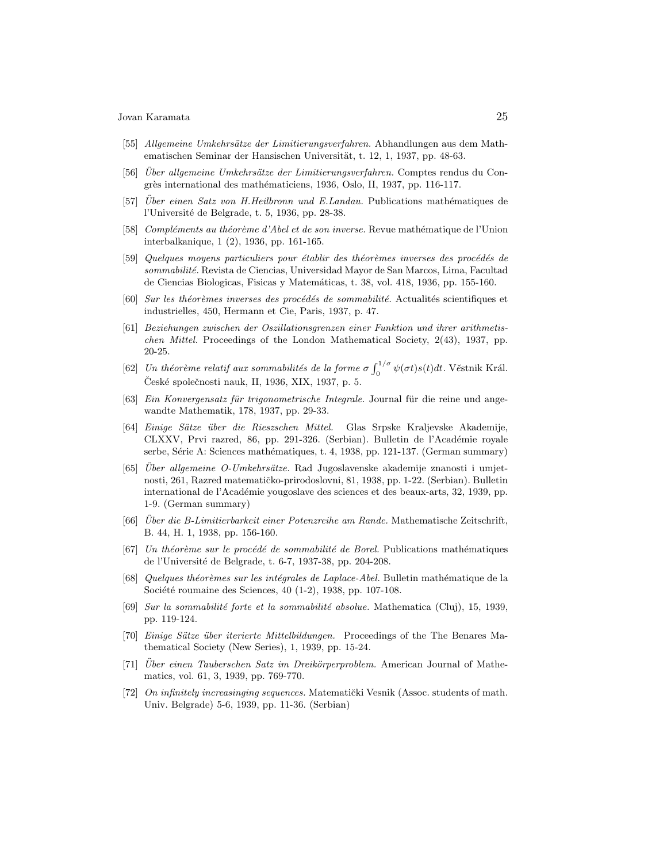- [55] Allgemeine Umkehrsätze der Limitierungsverfahren. Abhandlungen aus dem Mathematischen Seminar der Hansischen Universität, t. 12, 1, 1937, pp. 48-63.
- [56] Über allgemeine Umkehrsätze der Limitierungsverfahren. Comptes rendus du Congrès international des mathématiciens, 1936, Oslo, II, 1937, pp. 116-117.
- $[57]$  Uber einen Satz von H.Heilbronn und E.Landau. Publications mathématiques de l'Université de Belgrade, t. 5, 1936, pp. 28-38.
- [58] Compléments au théorème d'Abel et de son inverse. Revue mathématique de l'Union interbalkanique, 1 (2), 1936, pp. 161-165.
- [59] Quelques moyens particuliers pour établir des théorèmes inverses des procédés de sommabilité. Revista de Ciencias, Universidad Mayor de San Marcos, Lima, Facultad de Ciencias Biologicas, Fisicas y Matemáticas, t. 38, vol. 418, 1936, pp. 155-160.
- $[60]$  Sur les théorèmes inverses des procédés de sommabilité. Actualités scientifiques et industrielles, 450, Hermann et Cie, Paris, 1937, p. 47.
- [61] Beziehungen zwischen der Oszillationsgrenzen einer Funktion und ihrer arithmetischen Mittel. Proceedings of the London Mathematical Society, 2(43), 1937, pp. 20-25.
- [62] Un théorème relatif aux sommabilités de la forme  $\sigma \int_0^{1/\sigma}$  $\int_0^{1/\sigma} \psi(\sigma t) s(t) dt$ . Věstnik Král. České společnosti nauk, II, 1936, XIX, 1937, p. 5.
- [63] Ein Konvergensatz für trigonometrische Integrale. Journal für die reine und angewandte Mathematik, 178, 1937, pp. 29-33.
- [64] Einige S¨atze ¨uber die Rieszschen Mittel. Glas Srpske Kraljevske Akademije, CLXXV, Prvi razred, 86, pp. 291-326. (Serbian). Bulletin de l'Académie royale serbe, Série A: Sciences mathématiques, t. 4, 1938, pp. 121-137. (German summary)
- $[65]$  Uber allgemeine O-Umkehrsätze. Rad Jugoslavenske akademije znanosti i umjetnosti, 261, Razred matematičko-prirodoslovni, 81, 1938, pp. 1-22. (Serbian). Bulletin international de l'Académie yougoslave des sciences et des beaux-arts, 32, 1939, pp. 1-9. (German summary)
- $[66]$  Über die B-Limitierbarkeit einer Potenzreihe am Rande. Mathematische Zeitschrift, B. 44, H. 1, 1938, pp. 156-160.
- [67] Un théorème sur le procédé de sommabilité de Borel. Publications mathématiques de l'Université de Belgrade, t. 6-7, 1937-38, pp. 204-208.
- [68] Quelques théorèmes sur les intégrales de Laplace-Abel. Bulletin mathématique de la Société roumaine des Sciences,  $40$  (1-2), 1938, pp. 107-108.
- [69] Sur la sommabilité forte et la sommabilité absolue. Mathematica (Cluj), 15, 1939, pp. 119-124.
- [70] Einige Sätze über iterierte Mittelbildungen. Proceedings of the The Benares Mathematical Society (New Series), 1, 1939, pp. 15-24.
- $[71]$  Uber einen Tauberschen Satz im Dreikörperproblem. American Journal of Mathematics, vol. 61, 3, 1939, pp. 769-770.
- [72] On infinitely increasinging sequences. Matematički Vesnik (Assoc. students of math. Univ. Belgrade) 5-6, 1939, pp. 11-36. (Serbian)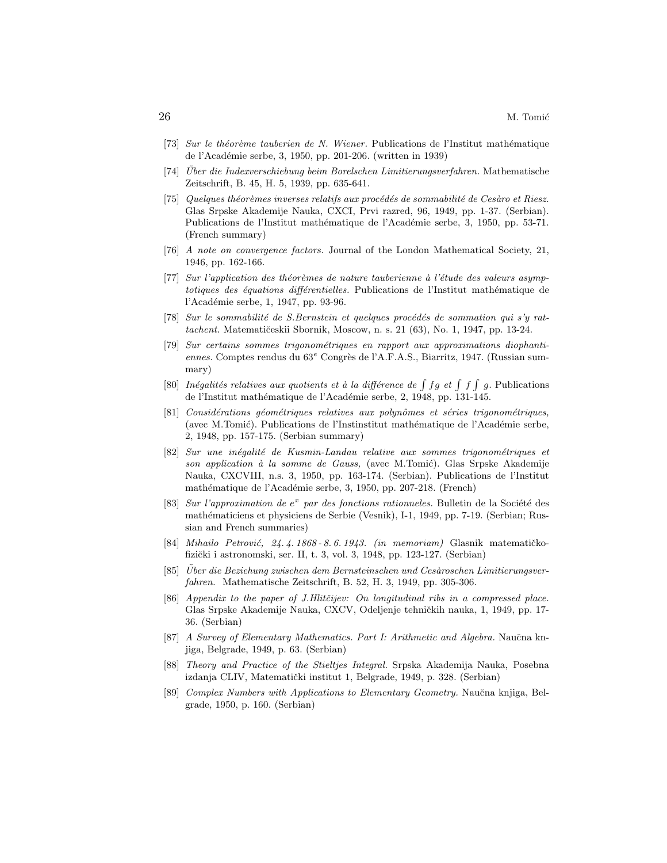- [73] Sur le théorème tauberien de N. Wiener. Publications de l'Institut mathématique de l'Académie serbe, 3, 1950, pp. 201-206. (written in 1939)
- [74] Uber die Indexverschiebung beim Borelschen Limitierungsverfahren. Mathematische Zeitschrift, B. 45, H. 5, 1939, pp. 635-641.
- [75] Quelques théorèmes inverses relatifs aux procédés de sommabilité de Cesàro et Riesz. Glas Srpske Akademije Nauka, CXCI, Prvi razred, 96, 1949, pp. 1-37. (Serbian). Publications de l'Institut mathématique de l'Académie serbe, 3, 1950, pp. 53-71. (French summary)
- [76] A note on convergence factors. Journal of the London Mathematical Society, 21, 1946, pp. 162-166.
- [77] Sur l'application des théorèmes de nature tauberienne à l'étude des valeurs asymptotiques des équations différentielles. Publications de l'Institut mathématique de l'Académie serbe, 1, 1947, pp. 93-96.
- $[78]$  Sur le sommabilité de S.Bernstein et quelques procédés de sommation qui s'y rattachent. Matematičeskii Sbornik, Moscow, n. s. 21 (63), No. 1, 1947, pp. 13-24.
- [79] Sur certains sommes trigonom´etriques en rapport aux approximations diophantiennes. Comptes rendus du  $63^e$  Congrès de l'A.F.A.S., Biarritz, 1947. (Russian summary)
- [80] Inégalités relatives aux quotients et à la différence de  $\int f g e t \int f g$ . Publications de l'Institut mathématique de l'Académie serbe, 2, 1948, pp. 131-145.
- [81] Considérations géométriques relatives aux polynômes et séries trigonométriques, (avec M.Tomić). Publications de l'Instinstitut mathématique de l'Académie serbe, 2, 1948, pp. 157-175. (Serbian summary)
- [82] Sur une inégalité de Kusmin-Landau relative aux sommes trigonométriques et son application à la somme de Gauss, (avec M.Tomić). Glas Srpske Akademije Nauka, CXCVIII, n.s. 3, 1950, pp. 163-174. (Serbian). Publications de l'Institut mathématique de l'Académie serbe, 3, 1950, pp. 207-218. (French)
- [83] Sur l'approximation de  $e^x$  par des fonctions rationneles. Bulletin de la Société des mathématiciens et physiciens de Serbie (Vesnik), I-1, 1949, pp. 7-19. (Serbian; Russian and French summaries)
- $[84]$  Mihailo Petrović, 24. 4. 1868 8. 6. 1943. (in memoriam) Glasnik matematičkofizički i astronomski, ser. II, t. 3, vol. 3, 1948, pp. 123-127. (Serbian)
- [85] Über die Beziehung zwischen dem Bernsteinschen und Cesàroschen Limitierungsverfahren. Mathematische Zeitschrift, B. 52, H. 3, 1949, pp. 305-306.
- [86] Appendix to the paper of J.Hlitčijev: On longitudinal ribs in a compressed place. Glas Srpske Akademije Nauka, CXCV, Odeljenje tehničkih nauka, 1, 1949, pp. 17-36. (Serbian)
- [87] A Survey of Elementary Mathematics. Part I: Arithmetic and Algebra. Naučna knjiga, Belgrade, 1949, p. 63. (Serbian)
- [88] Theory and Practice of the Stieltjes Integral. Srpska Akademija Nauka, Posebna izdanja CLIV, Matematički institut 1, Belgrade, 1949, p. 328. (Serbian)
- [89] Complex Numbers with Applications to Elementary Geometry. Naučna knjiga, Belgrade, 1950, p. 160. (Serbian)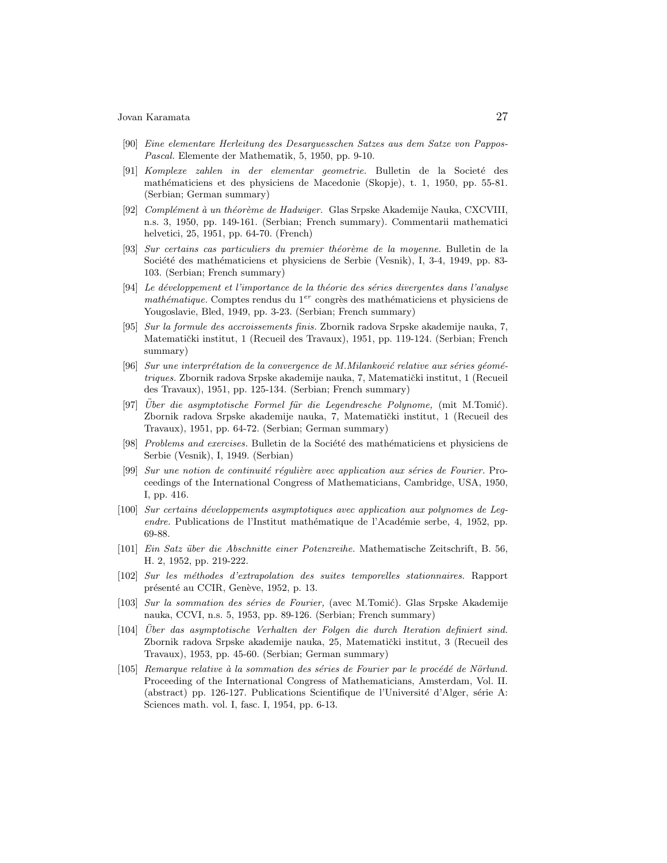- [90] Eine elementare Herleitung des Desarguesschen Satzes aus dem Satze von Pappos-Pascal. Elemente der Mathematik, 5, 1950, pp. 9-10.
- [91] Komplexe zahlen in der elementar geometrie. Bulletin de la Societé des mathématiciens et des physiciens de Macedonie (Skopje), t. 1, 1950, pp. 55-81. (Serbian; German summary)
- [92] Complément à un théorème de Hadwiger. Glas Srpske Akademije Nauka, CXCVIII, n.s. 3, 1950, pp. 149-161. (Serbian; French summary). Commentarii mathematici helvetici, 25, 1951, pp. 64-70. (French)
- [93] Sur certains cas particuliers du premier théorème de la moyenne. Bulletin de la Société des mathématiciens et physiciens de Serbie (Vesnik), I, 3-4, 1949, pp. 83-103. (Serbian; French summary)
- [94] Le développement et l'importance de la théorie des séries divergentes dans l'analyse  $mathématique$ . Comptes rendus du  $1<sup>er</sup>$  congrès des mathématiciens et physiciens de Yougoslavie, Bled, 1949, pp. 3-23. (Serbian; French summary)
- [95] Sur la formule des accroissements finis. Zbornik radova Srpske akademije nauka, 7, Matematički institut, 1 (Recueil des Travaux), 1951, pp. 119-124. (Serbian; French summary)
- $[96]$  Sur une interprétation de la convergence de M.Milanković relative aux séries géométriques. Zbornik radova Srpske akademije nauka, 7, Matematički institut, 1 (Recueil des Travaux), 1951, pp. 125-134. (Serbian; French summary)
- [97] Uber die asymptotische Formel für die Legendresche Polynome, (mit M.Tomić). Zbornik radova Srpske akademije nauka, 7, Matematički institut, 1 (Recueil des Travaux), 1951, pp. 64-72. (Serbian; German summary)
- [98] Problems and exercises. Bulletin de la Société des mathématiciens et physiciens de Serbie (Vesnik), I, 1949. (Serbian)
- $[99]$  Sur une notion de continuité régulière avec application aux séries de Fourier. Proceedings of the International Congress of Mathematicians, Cambridge, USA, 1950, I, pp. 416.
- [100] Sur certains d´eveloppements asymptotiques avec application aux polynomes de Legendre. Publications de l'Institut mathématique de l'Académie serbe, 4, 1952, pp. 69-88.
- [101] Ein Satz ¨uber die Abschnitte einer Potenzreihe. Mathematische Zeitschrift, B. 56, H. 2, 1952, pp. 219-222.
- [102] Sur les m´ethodes d'extrapolation des suites temporelles stationnaires. Rapport présenté au CCIR, Genève, 1952, p. 13.
- [103] Sur la sommation des séries de Fourier, (avec M.Tomić). Glas Srpske Akademije nauka, CCVI, n.s. 5, 1953, pp. 89-126. (Serbian; French summary)
- [104] Uber das asymptotische Verhalten der Folgen die durch Iteration definiert sind. ¨ Zbornik radova Srpske akademije nauka, 25, Matematički institut, 3 (Recueil des Travaux), 1953, pp. 45-60. (Serbian; German summary)
- $[105]$  Remarque relative à la sommation des séries de Fourier par le procédé de Nörlund. Proceeding of the International Congress of Mathematicians, Amsterdam, Vol. II. (abstract) pp. 126-127. Publications Scientifique de l'Université d'Alger, série A: Sciences math. vol. I, fasc. I, 1954, pp. 6-13.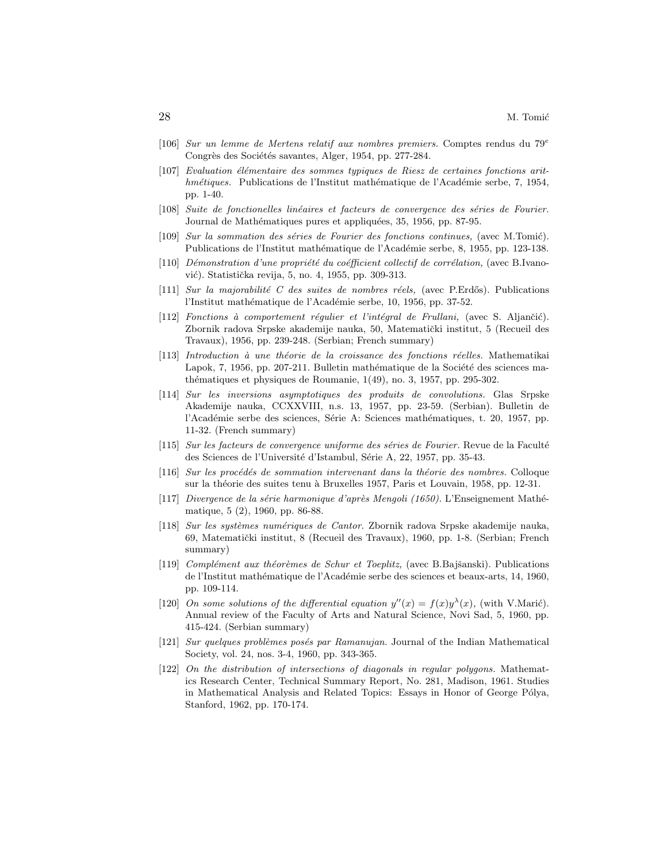- [106] Sur un lemme de Mertens relatif aux nombres premiers. Comptes rendus du 79<sup>e</sup> Congrès des Sociétés savantes, Alger, 1954, pp. 277-284.
- $[107]$  Evaluation élémentaire des sommes typiques de Riesz de certaines fonctions arithmétiques. Publications de l'Institut mathématique de l'Académie serbe, 7, 1954, pp. 1-40.
- [108] Suite de fonctionelles linéaires et facteurs de convergence des séries de Fourier. Journal de Mathématiques pures et appliquées, 35, 1956, pp. 87-95.
- [109] Sur la sommation des séries de Fourier des fonctions continues, (avec M.Tomić). Publications de l'Institut mathématique de l'Académie serbe, 8, 1955, pp. 123-138.
- $[110]$  Démonstration d'une propriété du coéfficient collectif de corrélation, (avec B.Ivanović). Statistička revija, 5, no. 4, 1955, pp. 309-313.
- [111] Sur la majorabilité C des suites de nombres réels, (avec P.Erdős). Publications l'Institut mathématique de l'Académie serbe, 10, 1956, pp. 37-52.
- [112] Fonctions à comportement régulier et l'intégral de Frullani, (avec S. Aljančić). Zbornik radova Srpske akademije nauka, 50, Matematički institut, 5 (Recueil des Travaux), 1956, pp. 239-248. (Serbian; French summary)
- $[113]$  Introduction à une théorie de la croissance des fonctions réelles. Mathematikai Lapok, 7, 1956, pp. 207-211. Bulletin mathématique de la Société des sciences mathématiques et physiques de Roumanie,  $1(49)$ , no. 3, 1957, pp. 295-302.
- [114] Sur les inversions asymptotiques des produits de convolutions. Glas Srpske Akademije nauka, CCXXVIII, n.s. 13, 1957, pp. 23-59. (Serbian). Bulletin de l'Académie serbe des sciences, Série A: Sciences mathématiques, t. 20, 1957, pp. 11-32. (French summary)
- $[115]$  Sur les facteurs de convergence uniforme des séries de Fourier. Revue de la Faculté des Sciences de l'Université d'Istambul, Série A, 22, 1957, pp. 35-43.
- $[116]$  Sur les procédés de sommation intervenant dans la théorie des nombres. Colloque sur la théorie des suites tenu à Bruxelles 1957, Paris et Louvain, 1958, pp. 12-31.
- $[117]$  Divergence de la série harmonique d'après Mengoli (1650). L'Enseignement Mathématique, 5 (2), 1960, pp. 86-88.
- [118] Sur les systèmes numériques de Cantor. Zbornik radova Srpske akademije nauka, 69, Matematički institut, 8 (Recueil des Travaux), 1960, pp. 1-8. (Serbian; French summary)
- [119] Complément aux théorèmes de Schur et Toeplitz, (avec B.Bajšanski). Publications de l'Institut mathématique de l'Académie serbe des sciences et beaux-arts, 14, 1960, pp. 109-114.
- [120] On some solutions of the differential equation  $y''(x) = f(x)y^{\lambda}(x)$ , (with V.Marić). Annual review of the Faculty of Arts and Natural Science, Novi Sad, 5, 1960, pp. 415-424. (Serbian summary)
- [121] Sur quelques problèmes posés par Ramanujan. Journal of the Indian Mathematical Society, vol. 24, nos. 3-4, 1960, pp. 343-365.
- [122] On the distribution of intersections of diagonals in regular polygons. Mathematics Research Center, Technical Summary Report, No. 281, Madison, 1961. Studies in Mathematical Analysis and Related Topics: Essays in Honor of George Pólya, Stanford, 1962, pp. 170-174.